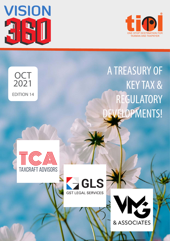

**OCT** 

2021

EDITION 14



# A TREASURY OF KEY TAX & REGULATORY EVELOPMENTS!





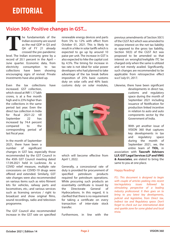### **Vision 360: Positive changes in GST...**

he fundamentals of the Indian economy are sound as the real GDP in Q3 and Q4 of FY 21 already crossed the pre-pandemic level. The Indian economy grew by a record of 20.1 percent in the April – June quarter. Economic data, from electricity consumption to tax collections have been showing encouraging signs of revival. Private investments have also picked up. **T**

Even the tax collections have

increased. GST collection, which stood at INR 1.17 lakh crores, is at a five month high and is 23% higher than the collections in the same period last year. Even the direct tax collection in India for fiscal  $2021-22$  till September 22 has increased by 74.4 percent compared to the corresponding period of last fiscal year.

In the month of September 2021, there have been a number of significant

changes in GST law, especially those recommended by the GST Council in the 45th GST Council meeting dated 17.09.2021 held in Lucknow. As a COVID relief measure, multiple rate concessions on COVID-19 drugs were offered and extended. Similarly, GST rate changes were also recommended on various items such as retro fitment kits for vehicles, railway parts and locomotives, etc.; and various services such as licensing services / right to broadcast and show original films, sound recordings, radio and television programme.

The GST Council also recommended increase in the GST rate on specified renewable energy devices and parts from 5% to 12% with effect from October 01, 2021. This is likely to result in a hike in solar tariffs which is expected to go up by around 10 paise per unit. The increase in GST is also expected to hike the capital cost by 4.5%. The timing for increase in tax rate is not ideal for solar power developers who had planned to take advantage of the tax break before imposition of 25% basic customs duty on solar cells and 40% basic customs duty on solar modules, previous amendments of Section 50(1) of the CGST Act which was amended to impose interest on the net tax liability as opposed to the gross tax liability, Section 50(3) of the CGST Act was proposed to be amended so that interest on wrongful/ineligible ITC be charged only when the same is utilized and not merely availed. Significantly, such changes are recommended to be applicable from retrospective effect w.e.f July 01, 2017.

Likewise, there have been significant

developments in direct tax, customs and regulatory space during the month of September 2021 including issuance of Notification for production linked incentive in relation to auto and auto components sector by the Government of India.

With yet another issue of VISION 360 that captures key developments in tax and regulatory space during the month of September 2021, we, the entire team of **TIOL**, in

association with **Taxcraft Advisors LLP, GST Legal Services LLP and VMG & Associates**, are elated to bring the same to you at one place.

#### Happy Reading!

*P.S.: This document is designed to begin with couple of articles peeking into recent tax/regulatory issues followed by stimulating perspective of a leading industry professional. It then goes on to bring to you latest key developments, judicial and legislative, from Direct tax, Indirect tax and Regulatory space. Don't forget to check out our international desk and sparkle zone for some global and local trivia.*

which will become effective from April 1, 2022.

Generally, a concessional rate of duty is provided for procurement of specified petroleum products required for petroleum operations. While procuring such products an essentiality certificate is issued by the Directorate General of Hydrocarbons. In this regard, it is clarified that there is no requirement for taking a certificate on every transaction of inter-state stock transfer.

Furthermore, in line with the

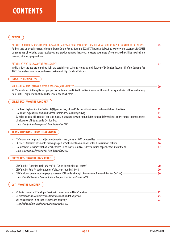### **ARTICLE**

| ARTICLE: EXPORT OF GOODS, TECHNOLOGY AND/OR SOFTWARE: AN EVALUATION FROM THE VIEW-POINT OF EXPORT CONTROL REGULATIONS!<br>Authors take-up a vital issue regarding the Export Control Regulations and SCOMET. The article delves into overview and coverage of SCOMET,<br>consequences of violating these regulations and provide remarks that seeks to create awareness of complex technicalities involved and<br>necessity of timely preparedness | 05                          |
|----------------------------------------------------------------------------------------------------------------------------------------------------------------------------------------------------------------------------------------------------------------------------------------------------------------------------------------------------------------------------------------------------------------------------------------------------|-----------------------------|
| ARTICLE: A TWIST IN SAGA OF 'RE-ASSESSMENT'<br>In this article, the authors bring into light the possibility of claiming refund by modification of BoE under Section 149 of the Customs Act,<br>1962. The analysis revolves around recent decisions of High Court and Tribunal                                                                                                                                                                     | 07                          |
| <b>INDUSTRY PERSPECTIVE</b>                                                                                                                                                                                                                                                                                                                                                                                                                        |                             |
| MR. RAHUL VARMA - SENIOR DIRECTOR, TAXATION, CIPLA LIMITED<br>Mr. Varma shares his thoughts and perspective on Production Linked Incentive Scheme for Pharma Industry, exclusion of Pharma Industry<br>from RoDTEP, digitalization of Indian Tax system and much more                                                                                                                                                                              | 09                          |
| <b>DIRECT TAX - FROM THE JUDICIARY</b>                                                                                                                                                                                                                                                                                                                                                                                                             |                             |
| ITAT holds Explanation 2 to Section 37(1) prospective, allows CSR expenditure incurred in line with Govt. directives<br>ITAT allows expenditure from undisclosed income declared during survey<br>SC holds no legal obligation of banks to maintain separate investment funds for earning different kinds of investment incomes, rejects<br>disallowance of interest under Section 14A<br>and other judicial developments from September 2021      | 11<br>11<br>12 <sup>2</sup> |
| <b>TRANSFER PRICING - FROM THE JUDICIARY</b>                                                                                                                                                                                                                                                                                                                                                                                                       |                             |
| ITAT grants working-capital adjustment on actual basis, rules on SWD comparables<br>HC rejects Assessee's attempt to challenge a part of Settlement Commission's order, dismisses writ petition<br>ITAT disallows recharacterization of debenture/CCD as shares, remits ALP determination of payment of interest to AEs<br>and other judicial developments from September 2021                                                                     | 16<br>16<br>17              |
| <b>DIRECT TAX - FROM THE LEGISLATURE</b>                                                                                                                                                                                                                                                                                                                                                                                                           |                             |
| CBDT notifies "specified bank" u/s 194P for TDS on "specified senior citizen"<br>CBDT notifies Rule for authentication of electronic record u/s 144B<br>CBDT excludes person receiving equity shares of PSUs under strategic disinvestment from ambit of Sec. 56(2)(x)<br>and other Notifications, Circular, Trade Notice, etc. issued in September 2021                                                                                           | 20<br>20<br>20              |
| <b>GST - FROM THE JUDICIARY</b>                                                                                                                                                                                                                                                                                                                                                                                                                    |                             |
| SC denied refund of ITC on Input Services in case of Inverted Duty Structure                                                                                                                                                                                                                                                                                                                                                                       | 22                          |

• SC denied refund of ITC on Input Services in case of Inverted Duty Structure • SC withdraws Suo Motu directions for extension of limitation period • WB AAR disallows ITC on invoices furnished belatedly  *…and other judicial developments from September 2021* **22 23 23**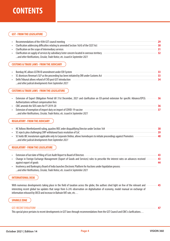#### **GST - FROM THE LEGISLATURE**

| Recommendations of the 45th GST council meeting                                                |    |
|------------------------------------------------------------------------------------------------|----|
| Clarification addressing difficulties relating to amended Section 16(4) of the CGST Act        | 30 |
| Clarification on the scope of Intermediary services                                            |    |
| Clarification on supply of services by subsidiary/sister concern located in overseas territory |    |
| and other Notifications, Circular, Trade Notice, etc. issued in September 2021                 |    |

#### **CUSTOMS & TRADE LAWS - FROM THE JUDICIARY**

| Bombay HC allows GSTIN ID amendment under EDI System                                     |     |
|------------------------------------------------------------------------------------------|-----|
| SC dismisses Revenue's SLP as the proceeding has been initiated by DRI under Customs Act |     |
| Delhi Tribunal allows refund of CVD post GST introduction                                | 34. |
| and other judicial developments from September 2021                                      |     |

#### **CUSTOMS & TRADE LAWS - FROM THE LEGISLATURE**

| Extension of Export Obligation Period till 31st December, 2021 and clarification on EO-period extension for specific Advance/EPCG | 36 |
|-----------------------------------------------------------------------------------------------------------------------------------|----|
| Authorizations without compensation fees                                                                                          |    |
| CBIC amends the SEIS rates for FY 2019-20                                                                                         | 36 |
| Extension of exemption of import duty on import of COVID-19 vaccine                                                               | 37 |
| and other Notifications, Circular, Trade Notice, etc. issued in September 2021                                                    |    |

#### **REGULATORY - FROM THE JUDICIARY**

| HC follows Meethelaveetil ruling, quashes ROC order disqualifying Director under Section 164                             | 38. |
|--------------------------------------------------------------------------------------------------------------------------|-----|
| SC rejects plea challenging CIRP withdrawal basis resolution of CoC                                                      | 39. |
| SC holds IBC moratorium applicable only to Corporate Debtor, allows homebuyers to initiate proceedings against Promoters | 40. |
| and other judicial developments from September 2021                                                                      |     |

#### **REGULATORY - FROM THE LEGISLATURE**

| Extension of last date of filing of Cost Audit Report to Board of Directors                                                     | 43. |
|---------------------------------------------------------------------------------------------------------------------------------|-----|
| Change in Foreign Exchange Management (Export of Goods and Services) rules to prescribe the interest rates on advances received | 43  |
| against export of goods                                                                                                         | 44  |
| Insolvency and Bankruptcy Board of India launches Electronic Platform for Auctions under liquidation process                    |     |
|                                                                                                                                 |     |

 *...and other Notications, Circular, Trade Notice, etc. issued in September 2021*

#### **INTERNATIONAL DESK**

With numerous developments taking place in the field of taxation across the globe, the authors shed light on few of the relevant and interesting recent global tax updates that range from G-24's observation on digitalisation of economy, model manual on exchange of information released by OECD and increase in Bahrain VAT rate, etc… **45**

#### **SPARKLE ZONE**

#### GST: RECENT EVOLUTION!

This special piece pertains to recent developments in GST laws through recommendations from the GST Council and CBIC's clarifications...

**47**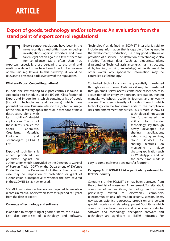### **Export of goods, technology and/or software: An evaluation from the stand point of export control regulations!**

Export control regulations have been in the news recently as authorities have ramped up investigations against exporters and have taken legal action against a few of them for non-compliance. More often than not, exporters, especially those pertaining to the small and medium scale industries have been found to be unaware of the said regulations. In this backdrop, it would be relevant to present a bird's eye view of the regulations. **T**

#### **What are Export Control Regulations?**

In India, the law relating to export controls is found in Appendix 3 to Schedule 2 of the ITC (HS) Classification of Export and Import Items which contains a list of goods (including technologies and software) which have potential dual-use. Dual-use refers to the (potential) usage of the item in military applications or in weapons of mass

destruction, along with its civilian/industrial applications. The list of these items is called the Special Chemicals, Organisms, Materials, Equipment and Technologies (SCOMET) List.

Export of such items is either prohibited or permitted against an

authorisation which is provided by the Directorate General of Foreign Trade (DGFT) or the Department of Defence Production or the Department of Atomic Energy, as the case may be. Imposition of prohibition or grant of authorisation is irrespective of whether the item covered in the SCOMET List is new or used.

SCOMET authorisation holders are required to maintain records in manual or electronic form for a period of 5 years from the date of export.

#### **Coverage of technology and software**

In addition to categorising of goods or items, the SCOMET List also comprises of technology and software. 'Technology' as defined in SCOMET inter-alia is said to include any information that is capable of being used in the development, production, use in any good, software or provision of a service. The definition of 'Technology' also includes 'Technical data' (such as blueprints, plans, diagrams) or 'Technical assistance' (such as instructions, skills, training, working knowledge) within its ambit. In other words, any specialized information may be controlled as 'Technology'.

Controlled technology can be potentially transferred through various means. Ordinarily it may be transferred through email, server access, conference calls/video calls, acquisition of an entity by a foreign corporation, training manuals, workshops, academic journals and university courses. The sheer diversity of modes through which technology can be transferred adds to the compliance risks and enforcement difficulties. This is more so now as



technological innovation has further eased the ability to transfer technology, say through newly developed file sharing applications, video chatting services, cloud services. file sharing features on messaging / video chatting application such as WhatsApp – and, at the same time made it

easy to completely erase any transfer footprint.

#### **Category 8 of SCOMET List – particularly relevant for IT/ ITeS industry**

Category 8 of the SCOMET List has been borrowed from the control list of Wassenaar Arrangement. To reiterate, it comprises of various items, technology and software particularly related to electronics, computers, telecommunications, information security, sensors, lasers, navigation, avionics, aerospace, propulsion and certain special materials and related equipment. Such items which comprise of electronic devices and circuits, semiconductor software and technology, encryption software and technology are significant to IT/ITeS industries. For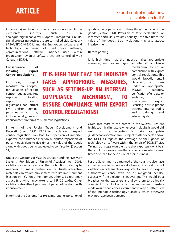# **ARTICLE**

instance: (a) semiconductor which are widely used in the electronics industry such as in analogue-digital-converters, optical integrated circuits, signal processing devices etc are controlled vide Category 8A301/8D301/8E301; and (b) Encryption software and technology comprising of hard drive software, communications software, intranet used within organisation, avionics software etc. are controlled vide Category 8D501.

**Consequence of violating Export Control Regulations** 

In India, stringent measures are adopted for violation of export control regulations. Any exporter violating export control regulations can attract civil and/or criminal penalties which may include penalty, fine and **IT IS HIGH TIME THAT THE INDUSTRY TAKES APPROPRIATE MEASURES, SUCH AS SETTING-UP AN INTERNAL COMPLIANCE MECHANISM, TO ENSURE COMPLIANCE WITH EXPORT CONTROL REGULATIONS!**

goods attracts penalty upto three times the value of the goods (Section 114). Provision of false declarations or incorrect particulars attracts penalty upto five times the value of the goods. Such violations may also attract imprisonment

#### **Before parting…**

It is high time that the industry takes appropriate measures, such as setting-up an internal compliance

mechanism, to ensure compliance with export control regulations. This would broadly entail classifying an item under an appropriate SCOMET category, verification of end use or end-user, risk assessment, export licensing, post shipment tracking, internal audits and training and educating staff.

Given that most of the entries in the SCOMET List are highly technical in nature, whenever in doubt, it would bid well for the exporters to take appropriate guidance/clarification from subject matter experts and/or the DGFT as regards the coverage of their goods or technology or software within the ambit of SCOMET List. Taking such steps would ensure that exporters don't bear the brunt of excessive penalties and sanctions which can at times also lead to the closure of their business.

For the Government's part, need of the hour is to also have a mechanism for voluntary disclosure of export control violation – which enables an exporter to seek a post export authorization/license with no or mitigated penalty, especially if the violation is inadvertent. This would be a breather for the exporters and allow them to be legally compliant. The disclosure of the inadvertent transfers made would enable the Government to keep a better track of the intangible technology transfers, which otherwise may not have been detected.

imprisonment in terms of numerous legislations.

In terms of the Foreign Trade (Development and Regulation) Act, 1992 (FTDR Act) violation of export control regulations can lead to suspension of importer exporter code number [Section 8] and/or imposition of penalty equivalent to five times the value of the goods along with goods being subjected to confiscation [Section] 11].

Under the Weapons of Mass Destruction and their Delivery Systems (Prohibition of Unlawful Activities) Act, 2005, violations as regards any of the prohibitions relating to weapons of mass destruction or fissile/radioactive materials can attract punishment with life imprisonment [Section 14, 15]. Punishment for unauthorised export may attract fine which may extend to INR 20 Lakhs. Other violations also attract payment of penalty/fine along with imprisonment

In terms of the Customs Act 1962, improper exportation of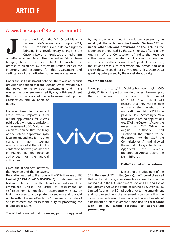### **A twist in saga of 'Re-assessment'!**

ust a week after the M.S. Dhoni hit a six securing India's second World Cup in 2011, the CBEC too hit a sixer in its own right by bringing in a revolutionary change in the Customs Law and introduced the mechanism of self-assessment. Much like the Indian Cricket team bringing cheers to the nation, the CBEC simplified the process of clearance by bestowing responsibilities the importers and exporters for due assessment and certification of the particulars at the time of clearance. **J**

Under the self-assessment Scheme, there was an explicit provision imbedded that the Custom Officer would have the power to verify such assessments and make reassessments where warranted. By way of this enactment the BOE or the SBs could be self-assessed with proper classification and valuation of goods.

However, issues in this regard arose when importers filed refund applications for excess paid duties without submissions of re-assessed BOE. Majorly, the claimants opined that the filing of the refund application ipso facto means and implies that the claimants are seeking re-assessment of all the BOE. This contention however, was neither entertained by the Revenue authorities nor the judicial authorities.

Given the differences between the Revenue and the taxpayers,

the matter reached to the doors of the SC in the case of ITC Limited **[2019-TIOL-418-SC-CUS-LB]**. In this case, the SC had inter alia held that the claim for refund cannot be entertained unless the order of assessment or self-assessment is modified in accordance with law by taking recourse to appropriate proceedings and it would not be within the ken of Section 27 to set aside the order of self-assessment and reassess the duty for processing the refund applications.

The SC had reasoned that in case any person is aggrieved

by any order which would include self-assessment, **he**  must get the order modified under Section 128 or **under other relevant provisions of the Act.** As the judgment pronounced by the SC is the law of land under Art. 141 of the Constitution of India, the Revenue authorities refused the refund applications on account for re-assessment in the absence of an Appealable order. Thus, the situation was such that where any person had paid excess duty, he could not claim refund, unless there was a speaking order passed by the Appellate authority.

#### **Vivo Mobile Case**

In one particular case, Vivo Mobiles had been paying CVD @ 6%/12.5% for import of mobile phones. However, post the SC decision in the case of SRF Limited



[2015-TIOL-74-SC-CUS], it was realized that they were eligible to claim the benefit of a notification requiring CVD to be paid @ 1%. Accordingly, Vivo filed various refund applications u/s. 27 of the Customs Act for the excess paid CVD. While the original authority had sanctioned the refund to be deposited into the CWF, the Commissioner (A) had allowed the refund to be granted to Vivo. Aggrieved, the Revenue preferred an Appeal before the Delhi Tribunal.

#### **Delhi Tribunal's Observations**

Dissecting the judgement of the

SC in the case of ITC Limited (supra), the Tribunal observed that in the said case, amendments or corrections can be carried out in the BOEs in terms of Sections 149 and 154 of the Customs Act at the stage of refund also. Even in ITC Limited (supra), the SC had both prior to the amendment and post amendment of assessment provision, is that the claim for refund cannot be entertained unless the order of assessment or self-assessment is modied **'in accordance with law by taking recourse to appropriate proceedings.'**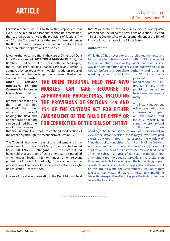# **ARTICLE**

For this reason, it was put forth by the Respondent that even if, the refund applications cannot be entertained, then too it is open to invoke the provisions of Sections 149 or 154 of the Customs Act for either seeking amendment in the Bill of Entries or seeking correction in the Bills of Entry and then refund applications can be filed.

It was further observed that in the case of Dimension Data India Private Limited **[2021-TIOL-224-HC-MUM-CUS]**, the Bombay HC had held that in the case of ITC Limited (supra), the SC had itself clarified that in case if any person is aggrieved by an order which would include an order of self-assessment, he has to get the order modified under

Section 128 **or under other relevant provisions of the Customs Act** before he files a claim for refund. This was based on the premise that as long as the order is not modified. the order remains on record holding the field and on that basis no refund can be claimed. But the moot issue remains is

**THE DELHI TRIBUNAL HELD THAT VIVO MOBILES CAN TAKE RECOURSE TO APPROPRIATE PROCEEDINGS, INCLUDING THE PROVISIONS OF SECTIONS 149 AND 154 OF THE CUSTOMS ACT FOR EITHER AMENDMENT OF THE BILLS OF ENTRY OR FOR CORRECTION OF THE BILLS OF ENTRY!**

that the Supreme Court has not confined modification of the order only through the mechanism of Section 128.

The Tribunal also took note of the judgement by the Telangana HC in the case of Sony India Private Limited **[2021TIOL-1707-HC- Telangana-CUS]**. In this case, it had been held that an order of assessment can be modified either under Section 128 or under other relevant provisions of the Act. Accordingly, it was clarified that the modification of an order of assessment can also be sought under Section 149 of the Act.

In view of the above observations, the Delhi Tribunal held

that Vivo Mobiles can take recourse to appropriate proceedings, including the provisions of Sections 149 and 154 of the Customs Act for either amendment of the Bills of Entry or for correction of the Bills of Entry.

#### **Authors' Note**

While the SC had never expressly prohibited the taxpayers to pursue alternative modes for getting BOE re-assessed for claim of refund, it was widely understood that the sole way for claiming refund of excess paid duty was to file an Appeal before the Appellate authority and obtain a speaking order. The fact that the SC had expressly

> provided for modification of BOE u/s. 128 or any other provision, seemed to have been overseen by many.

> The instant judgement will undoubtedly have a far-reaching impact on the trade and Industry, especially in cases where refund applications are

pending or has been rejected for want of re-assessment. In view of the instant decision, the taxpayers who have paid excess duty upon import, may exercise the window of filing the applications either u/s. 149 or 154 of the Customs Act for amendment or correction. Accordingly, a refund application u/s. 27 of the Customs Act may be filed, even after the substantial lapse of time as the modification/ amendment u/s 149 does not provide any restrictions on time limit as such. However, given the far-reaching impact of instant case to several refund applications filed/rejected on this ground alone, the Government / legislature may take a contrary view and may resort to suitably amend the law with retrospective effect of appeal the instant decision before the High Court.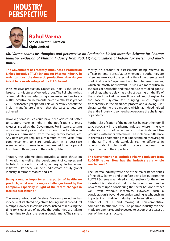

### Senior Director - Taxation, **Cipla Limited Rahul Varma**

*Mr. Varma shares his thoughts and perspective on Production Linked Incentive Scheme for Pharma Industry, exclusion of Pharma Industry from RoDTEP, digitalization of Indian Tax system and much more…*

**The Government has recently announced a Production Linked Incentive ('PLI') Scheme for Pharma Industry in order to boost the domestic production. How do you intent to take advantage of the PLI Scheme?**

With massive production capacities, India is the world's largest manufacturer of generic drugs. The PLI scheme has offered eligible manufacturing companies and sectors a 4-10% incentive on incremental sales over the base year of 2019-20 for a five-year period. This will certainly benefit the Indian manufacturers' given that the sales targets are achieved.

However, some issues could have been addressed better to support make in India in the notifications  $/$  press releases issued by the Government. For instance, setting up a Greenfield project takes too long due to delays in approvals, permissions from the regulatory bodies, etc. Any new project requires a minimum of two years from commencement to start production in a best-case scenario, which means incentives are paid over a period from two to three years of the starting date.

Though, the scheme does provides a great thrust on innovation as well as the development of complex and high-tech products including emerging technologies. Initiatives like these will help India create a truly global industry in terms of stature and size.

#### **Being a regular importer and exporter of healthcare products, what are the major challenges faced by the Company, especially in light of the recent changes in faceless assessment ?**

The newly introduced Faceless Customs procedure has indeed met its stated objectives barring initial procedural hiccups. However, in certain cases, instead of reducing the time for clearances of goods, the authorities are taking longer time to clear the regular consignment. The same is

mostly on account of assessments being referred to officers in remote areas/states wherein the authorities are often unaware about the technicalities of the chemical and medicinal goods / equipment and tend to issues queries, which are mostly not relevant. This is even more critical in the cases of perishable and temperature controlled goods/ medicines, where delay has a direct bearing on the life of the product itself. At the same time, credit must be given to the faceless system for bringing much required transparency in the clearance process and allowing 24\*7 clearances during the pandemic, which has indeed helped the entire industry to some-what overcome the challenges of pandemic.

Further, classification of the goods has been another uphill task, especially in the pharma industry wherein the raw materials consist of wide range of chemicals and like products, with minor differences. The molecular difference in chemicals is something that is not completely envisaged in the tariff and understandably so, the difference in opinion about classification occurs between the department and the importers.

#### **The Government has excluded Pharma Industry from RoDTEP radius. How has the industry as a whole reacted on it?**

The Pharma industry were one of the major beneficiaries of the MEIS Scheme and therefore being left out from the RoDTEP Scheme was indeed a major setback for the entire industry. It is understood that this decision comes from the Government upon considering the sector has done rather well even without incentives. However, such a consideration is beyond our understanding as why such an important and thriving industry has been left out of the ambit of RoDTEP and making it non-competitive compared to other industry The pharma industry can't be made to suffer taxes and expected to export these taxes as part of their cost structure.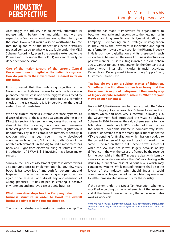# **INDUSTRY PERSPECTIVE**

Accordingly, the industry has collectively submitted its representation before the authorities and we are expecting a favourably consideration by the ministry on the same. However, it would also be worthwhile to note that the quantum of the benefit has been drastically reduced compared to what was available under the MEIS Scheme. Accordingly, even if the benefit is extended to the Pharma industry under the RoDTEP, we cannot really be dependent on the same.

#### **One of the major targets of the current Central Government was to digitalise the Indian tax system. How do you think the Government has fared so far on this front?**

It is no secret that the underlying objective of the Government in digitalization was to curb the tax evasion phenomenon, which is one of the biggest issues faced by the Indian economy. However, in order to put a complete check on the tax evasion, it is imperative for the digital system to work hassle free.

With the current faceless customs clearance systems, as discussed above, or the faceless assessment scheme in the Direct tax sector, it is seen in many cases that instead of streamlining the processes, there have been numerous technical glitches in the system. However, digitisation is undoubtedly key in the compliance matters, especially in taxation, which has been seen in many developed countries such as the U.S.A. and Australia. One of the notable achievements in the digital India movement has been GST. Right from electronic filing of returns, to the introduction of E-Way Bill, E-Invoicing have been major success.

Similarly, the Faceless assessment system in direct tax has also maturing post its implementation by govt few years back. It has saved lot of time both for government and taxpayers. It has worked in reducing any personal bias against the assesses and dispel any apprehension of wrong practices. It has helped in creating a positive environment and improve ease of doing business.

#### **What innovative steps has the Company taken in its business structure in order to boost the overall business activities in the current situation?**

The pharma industry is witnessing a massive revamp. The

pandemic has made it imperative for organisations to become more agile and responsive to the new normal in the short and long term. To face this dynamic situation, the Company is embarking on a strategic re-imagination journey, led by the investment in Innovation and digital transformation. It was a weak spot for the Pharma industry initially but now digitalisation and its presence in such crucial times has impact the overall business structure in a positive manner. This is resulting in increase in value chain across various functions undertaken by the Company as a whole which inter alia includes financial activities, Research and Development, Manufacturing, Supply Chain, Customer Outreach, etc.

#### **Tax has always been a subject matter of litigation. Sometimes, the litigation burden is so heavy that the Government is required to dispose off the same by way of legacy dispute resolution schemes. What are your views on such schemes?**

Back in 2019, the Government had come up with the Sabka Vishwas Legacy Dispute Resolution Scheme for indirect tax matters, which had been very successful. Following suit, the Government had introduced the Vivad Se Vishwas Scheme in 2020. However, the said scheme seems to have fallen short of matching its IDT counterpart in as much as the benefit under this scheme is comparatively lower. Further, I understand that the many applications under the VSV are pending for finalization, which has only added to the current burden of litigation instead of lowering the same. The reason that the IDT scheme was successful while the VSV was not it was largely because of key difference in the way the cases are framed by the revenue for the two. While in the IDT issues are dealt with item by item as a separate case while the VSV was dealing with issues by a direct tax case at various levels which may contain many items. While most of the items shall be in the favour of the industry why should industry could compromise on large covered matter while they may want to settle some isolated issue at risk for the industry.

If the system under the Direct Tax Resolution scheme is modified according to the requirements of the assessees and if the benefits are enhanced, the same would also work as wonders!

*Note: The views/opinions expressed in this section are personal views of the Author*  and do not necessarily reflect the views/opinions of the organization and/or the *Publishers.*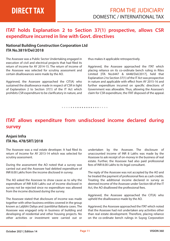### **ITAT holds Explanation 2 to Section 37(1) prospective, allows CSR expenditure incurred in line with Govt. directives**

### **National Building Construction Corporation Ltd ITA No.3819/Del/2018**

The Assessee was a Public Sector Undertaking engaged in execution of civil and electrical projects that had filed its return of income for AY 2014-15. The return of income of the Assessee was selected for scrutiny assessment and certain disallowances were made by the AO.

Aggrieved, the Assessee approached the CIT(A) who sustained the disallowance made in respect of CSR in light of Explanation 2 to Section 37(1) of the IT Act which prohibits CSR expenditure to be clarificatory in nature, and thus makes it applicable retrospectively.

Aggrieved, the Assessee approached the ITAT which placing reliance on its co-ordinate bench ruling in Rites Limited [ITA No.6447 & 6448/Del/2017], held that Explanation 2 to Section 37(1) of the IT Act was prospective in nature and applicable with effect from AY 2015-16 and further expenditure incurred on specific directions of Government was allowable. Thus, allowing the Assessee's claim for CSR expenditure, the ITAT disposed of the appeal.

*• • • • • • • • • • • • • • • • • • • • •* 

### **ITAT allows expenditure from undisclosed income declared during survey**

### **Anjani Infra ITA No. 478/SRT/2018**

The Assessee was a real estate developer. It had filed its return of income for AY 2013-14 which was selected for scrutiny assessment.

During the assessment the AO noted that a survey was carried out and the Assessee had debited expenditure of INR 8.00 Lakhs from the income disclosed in survey.

The AO asked the Assessee to show cause as to why the expenditure of INR 8.00 Lakhs out of income disclosed in survey not be rejected since no expenditure was allowed from the income disclosed during the survey.

The Assessee stated that disclosure of income was made together with other business entities covered in the group known as Laljibhi Daliya and Jyantibhai Babaria cases. The Assessee was engaged only in business of building and developing of residential and other housing projects. No other activities or investment were carried out or undertaken by the Assessee. The disclosure of unaccounted income of INR 8 Lakhs was made by the Assessee to ask receipt of on-money in the business of real estate. Further, the Assessee had also paid professional fees of INR 8.00 Lakhs to its legal consultant.

The reply of the Assessee was not accepted by the AO and he treated the payment of professional fees as cash credits. Treating the additional income declared in survey as deemed income of the Assessee under Section 68 of the IT Act, the AO disallowed the professional fees.

Aggrieved, the Assessee approached the CIT(A) who upheld the disallowance made by the AO.

Aggrieved, the Assessee approached the ITAT which noted that the Assessee had not undertaken any activities other than real estate development. Therefore, placing reliance on the co-ordinate bench rulings in Suyog Corporation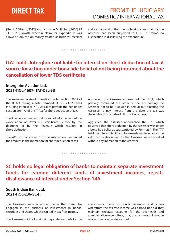# **DIRECT TAX**

### FROM THE JUDICIARY DOMESTIC / INTERNATIONAL TAX

[ITA No.568/Ahd/2012] and Jamnadas Muljibhai [[2006] 99 TTJ 197 (Rajkot)], wherein claim for expenditure was allowed from the on-money treated as business receipts and also observing that the professional fees paid by the Assessee had been subjected to TDS, ITAT found no justification in disallowing the expenditure.

#### *• • • • • • • • • • • • • • • • • • • • •*

### **ITAT holds Interglobe not liable for interest on short-deduction of tax at**  source for acting under bona fide belief of not being informed about the **cancellation of lower TDS certicate**

#### **Interglobe Aviation Ltd. 2021-TIOL-1607-ITAT-DEL-SB**

The Assessee received intimation under Section 200A of the IT Act raising a total demand of INR 73.32 Lakhs including interest of INR 9.23 Lakhs payable thereon under Section 201(1A) of the IT Act for short deduction of tax.

The Assessee submitted that it was not informed about the cancellation of lower TDS certificates, either by the deductee or by the Revenue which resulted in short-deduction.

The AO, not convinced with the submission, demanded the amount in the intimation for short deduction of tax.

Aggrieved, the Assessee approached the CIT(A) which partially confirmed the order of the AO holding the Assessee not to be Assessee-in-default but directing the Assessee to pay interest from the date the tax was deductible till the date of filing of tax returns.

Aggrieved, the Assessee approached the ITAT which observed that short-deduction by the Assessee was under a bona fide belief as substantiated by Form 26A. The ITAT held the interest liability to be unsustainable in law as the valid certificates issued to the Assessee were cancelled without any intimation to the Assessee.

*• • • • • • • • • • • • • • • • • • • • •* 

### **SC holds no legal obligation of banks to maintain separate investment**  funds for earning different kinds of investment incomes, rejects **disallowance of interest under Section 14A**

### **South Indian Bank Ltd. 2021-TIOL-236-SC-IT**

The Assessees were scheduled banks that were also engaged in the business of investments in bonds, securities and shares which resulted in tax-free income.

The Assessees did not maintain separate accounts for the

investments made in bonds, securities and shares wherefrom the tax-free income was earned nor did they maintain separate accounts for the overheads and administrative expenditure, thus, the income could not be related to any separate account.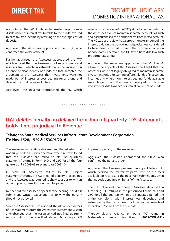Accordingly, the AO in its order made proportionate disallowance of interest attributable to the funds invested to earn tax free income by referring to the average cost of deposit.

Aggrieved, the Assessees approached the CIT(A) who confirmed the order of the AO.

Further aggrieved, the Assessees approached the ITAT which noticed that the Assessees had surplus funds and reserves from which investments could be incurred. In absence of clear identity of funds, the ITAT accepted the argument of the Assessees that investments were not made out of interest or cost bearing funds alone and deleted the disallowance of interest.

Aggrieved, the Revenue approached the HC which

reversed the decision of the ITAT primarily on the basis that the Assessees did not maintain separate accounts as such and had purchased the bonds/shares from mixed account. The HC was of the view that a proportionate amount of the interest paid on the borrowings/deposits, was considered to have been incurred to earn the tax-free income on bonds/shares. Therefore, the HC saw it fit to disallow such proportionate amount.

Aggrieved, the Assessees approached the SC. The SC allowed the appeals of the Assessees and held that the Assessees were not legally obligated to maintain separate investment funds for earning different kinds of investment incomes and where non-interest-bearing funds available were larger than the funds deployed in tax-free investments, disallowance of interest could not be made.

### **ITAT deletes penalty on delayed furnishing of quarterly TDS statements, holds it not prejudicial to Revenue**

*• • • • • • • • • • • • • • • • • • • • •* 

### **Telangana State Medical Services Infrastructure Development Corporation ITA Nos. 1528, 1529 & 1530/H/2016**

The Assessee was a State Government Undertaking that was subjected to a survey operation wherein it was found that the Assessee had failed to file TDS quarterly statements/returns in Form 24Q and 26Q for all the four quarters of FY 2008-09 relevant to AY 2009-10.

In view of Assessee's failure to file subject statements/returns, the AO initiated penalty proceedings and the Assessee was required to show cause as to why an order imposing penalty should not be passed.

Neither did the Assessee appear for the hearing, nor did it submit any written explanation as to why the penalty should not be levied.

Since the Assessee did not respond, the AO verified details of TDS statements from the Assessment Statement System and observed that the Assessee had not filed quarterly returns within the specified dates. Accordingly, AO imposed a penalty on the Assessee.

Aggrieved, the Assessee approached the CIT(A) who confirmed the penalty order.

Aggrieved, the Assessee preferred an appeal before ITAT which decided the matter ex parte basis on the facts available on record and the Revenue's submissions, given that nobody appeared on behalf of the Assessee.

The ITAT observed that though Assessee defaulted in furnishing TDS returns in the prescribed Forms 24Q and 26Q for all the quarters within the stipulated period, the entire tax along with interest was deposited and subsequently the TDS returns for all the quarters were filed after about 2 years from the due date.

Thereby placing reliance on Pune ITAT ruling in Maharashtra Jeevan Pradhikaran **[2021-TIOL-881-**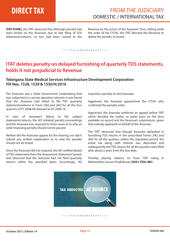# **DIRECT TAX**

### FROM THE JUDICIARY DOMESTIC / INTERNATIONAL TAX

**ITAT-PUNE]**, the ITAT observed that although penalty had been levied on the Assessee due to late filing of TDS statements/returns, no loss had been caused to the Revenue by the action of the Assessee. Thus, setting aside the order of the CIT(A), the ITAT directed the Revenue to delete the penalty so levied.

#### *• • • • • • • • • • • • • • • • • • • • •*

### **ITAT deletes penalty on delayed furnishing of quarterly TDS statements, holds it not prejudicial to Revenue**

#### **Telangana State Medical Services Infrastructure Development Corporation ITA Nos. 1528, 1529 & 1530/H/2016**

The Assessee was a State Government Undertaking that was subjected to a survey operation wherein it was found that the Assessee had failed to file TDS quarterly statements/returns in Form 24Q and 26Q for all the four quarters of FY 2008-09 relevant to AY 2009-10.

In view of Assessee's failure to file subject statements/returns, the AO initiated penalty proceedings and the Assessee was required to show cause as to why an order imposing penalty should not be passed.

Neither did the Assessee appear for the hearing, nor did it submit any written explanation as to why the penalty should not be levied.

Since the Assessee did not respond, the AO verified details of TDS statements from the Assessment Statement System and observed that the Assessee had not filed quarterly returns within the specified dates. Accordingly, AO

imposed a penalty on the Assessee.

Aggrieved, the Assessee approached the CIT(A) who confirmed the penalty order.

Aggrieved, the Assessee preferred an appeal before ITAT which decided the matter ex parte basis on the facts available on record and the Revenue's submissions, given that nobody appeared on behalf of the Assessee.

The ITAT observed that though Assessee defaulted in furnishing TDS returns in the prescribed Forms 24Q and 26Q for all the quarters within the stipulated period, the entire tax along with interest was deposited and subsequently the TDS returns for all the quarters were filed after about 2 years from the due date.

Thereby placing reliance on Pune ITAT ruling in Maharashtra Jeevan Pradhikaran **[2021-TIOL-881-** 

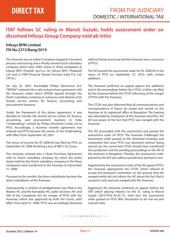### **ITAT follows SC ruling in Maruti Suzuki, holds assessment order on dissolved Infosys Group Company void ab initio**

### **Infosys BPM Limited ITA No.2372/Bang/2019**

The Assessee was an Indian Company engaged in business process outsourcing and a wholly owned Dutch subsidiary company which held 100% shares in three companies a) Infosys BPO (Poland) Sp.Z.o.o (b) Infosys BPO (Thailand) Ltd. and (c) PAN Financial Shared Services India Pvt. Ltd. ('PFSS').

On July 25, 2007, Koninklijke Philips Electronics N.V. ('KPENV') entered into a sale and purchase agreement with the Assessee under which KPENV agreed through the Dutch subsidiary company to outsource and dispose of its shared service centres for finance, accounting and procurement business.

Under the framework of the above agreement, it was decided to transfer the shared service centre for finance. accounting, and procurement business in India ('Undertaking') owned by Philips Electronics India Ltd to PFSS. Accordingly, a business transfer agreement was entered and PFSS became the owner of the Undertaking, with effect from September 30, 2007.

The return of income for AY 2008-09 was filed by PFSS on September 24, 2008 declaring a loss of INR 5.16 Crores.

The Assessee entered into a Share Purchase Agreement with its Dutch subsidiary company by which the entire shares held by the Dutch subsidiary company in the three companies were transferred to the Assessee on December 31, 2008.

Pursuant to the transfer, the three subsidiaries became the direct subsidiaries of the Assessee.

Subsequently, a scheme of amalgamation was filed in the Madras HC and the Karnataka HC under Sections 391 and 394 of the Companies Act for merger of PFSS with the Assessee, which was approved by both the courts, with effect from April 01, 2008. PFSS was accordingly dissolved

without being wound up and the Assessee was a successor of PFSS.

The AO passed the assessment order for AY 2008-09 in the name of PFSS on September 27, 2010, with certain additions.

The Assessee preferred an appeal against the additions and in the proceedings before the  $CIT(A)$ , a letter was filed by the Assessee before the CIT(A) informing of the merger of PFSS with the Assessee.

The CIT(A) was also informed that all communications and correspondence in future be issued and served on the Assessee at its registered office at Bangalore. The hearing was attended by employees of the Assessee and thus, the AO was aware of the fact that PFSS was merged with the Assessee.

The AO proceeded with the assessment and passed the assessment order on PFSS. The Assessee challenged the assessment order passed on the dissolved company and contended that since PFSS was dissolved without being wound up, the concerned CIT(A) should have transferred the jurisdiction and the pending proceedings to the AO of the Assessee in Bangalore. Thereby, the assessment order passed by the AO was without jurisdiction and bad in law.

Aggrieved by the assessment order of the AO against PFSS, the Assessee approached the CIT(A) which refused to accept the Assessee's contention on the ground that the merged entity did not inform the AO about the fact that it ceased to exist and was merged with the Assessee.

Aggrieved, the Assessee preferred an appeal before the ITAT which placing reliance on the SC ruling in Maruti Suzuki [2019-TIOL-56-SC-IT], held that the assessment order passed on PFSS after dissolution to be non est and void ab initio.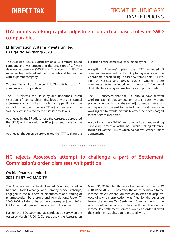### **ITAT grants working-capital adjustment on actual basis, rules on SWD comparables**

### **EF Information Systems Private Limited IT(TP)A No.149/Bang/2020**

The Assessee was a subsidiary of a Luxemburg based company and was engaged in the provision of software development services ('SWD') and IT services to its AEs. The Assessee had entered into an international transaction with its parent company.

To determine ALP, the Assessee in its TP study had taken 21 companies as comparables.

The TPO rejected the TP study and undertook fresh selection of comparables, disallowed working capital adjustment on actual basis placing an upper limit on the said adjustment, and made a TP adjustment against the SWD services rendered by the Assessee to its AEs.

Aggrieved by the TP adjustment, the Assessee approached the CIT(A) which upheld the TP adjustment made by the TPO.

Aggrieved, the Assessee approached the ITAT seeking the

exclusion of the comparables selected by the TPO.

Accepting Assessee's plea, the ITAT excluded 5 comparables selected by the TPO placing reliance on the Coordinate bench ruling in Cisco Systems (India) (P) Ltd. [IT(TP)A Nos.505 and 508/Bang/2015] wherein these companies were excluded on grounds of functional dissimilarity, earning income from sale of products etc.

The ITAT observed that the TPO should have allowed working capital adjustment on actual basis without placing an upper limit on the said adjustment, as there was no dispute with regard to the fact that the difference in working capital would materially affect the price charged for the services rendered.

Accordingly, the AO/TPO was directed to grant working capital adjustment on actual basis while making reference to Rule 10B of the IT Rules which do not restrict the subject adjustment.

*• • • • • • • • • • • • • • • • • • • • •* 

### **HC rejects Assessee's attempt to challenge a part of Settlement Commission's order, dismisses writ petition**

### **Orchid Pharma Limited 2021-TII-57-HC-MAD-TP**

The Assessee was a Public Limited Company listed in National Stock Exchange and Bombay Stock Exchange, engaged in the business of manufacture and trading of pharmaceutical bulk drugs and formulations. Upto AY 2003-2004, all the units of the company enjoyed 100% EOU status and its income was exempted from tax.

Further, the IT Department had conducted a survey on the Assessee March 17, 2010. Consequently, the Assessee on

March 31, 2010, filed its revised return of income for AY 2004-05 to 2009-10. Thereafter, the Assessee moved to the Income Tax Settlement Commission, to settle the disputes. Accordingly, an application was filed by the Assessee before the Income Tax Settlement Commission and the Assessee offered income as detailed in the application. The Income Tax Settlement Commission by an order allowed the Settlement application to proceed with.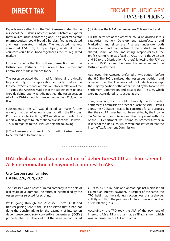# **DIRECT TAX**

Reports were called from the TPO. Assessee stated that in respect of the TP issues, Assessee made substantial exports to various countries across the globe. The global market for pharmaceuticals could broadly be classified as regulated and less regulated markets. The regulated markets comprised USA, UK, Europe, Japan, while all other countries could be clubbed together as the less regulated markets.

In order to verify the ALP of these transactions with the Distribution Partners, the Income Tax Settlement Commission made reference to the TPO.

The Assessee stated that it had furnished all the details fully and truly in the application submitted before the Income Tax Settlement Commission. Only in relation of the TP issues, the Assessee stated that the subject transactions were dealt improperly as it did not treat the Assessee as an AE of the Distribution Partners under Section 92(A) of the IT Act.

Subsequently, the CIT was directed to make further enquiry in respect of various issues including the TP issues. Pursuant to such directions, TPO was directed to submit its report with regard to international transactions. However, TPO with regards to the TP issues held the following:

(i) The Assessee and three of its Distribution Partners were to be treated as Deemed AEs;

(ii) PSM was the MAM over Assessee's CUP method; and

(iii) The activities of the Assessee could be divided into 3 categories (namely Development, Manufacture and Marketing) and since the Assessee undertook both development and manufacture of the products and also shared some of the marketing responsibilities the profit-sharing ratio was fixed at 70:30 (70 to the Assessee and 30 to the Distribution Partners) following the PSM as against 50:50 agreed between the Assessee and the Distribution Partners.

Aggrieved, the Assessee preferred a writ petition before the HC. The HC dismissed the Assessee's petition and observed that the Assessee could not selectively accept the majority portion of the order passed by the Income Tax Settlement Commission and dissect the TP issues, which were not considered to its expectation.

Thus, remarking that it could not modify the Income Tax Settlement Commission's order or quash the said TP issues alone, the HC stated it was to be construed for all purposes that the said TP issues had not been settled by the Income Tax Settlement Commission and the competent authority of the IT Department was bound to proceed further in respect of the TP issues, which were not settled before the Income Tax Settlement Commission.

## **ITAT disallows recharacterization of debentures/CCD as shares, remits ALP determination of payment of interest to AEs**

*• • • • • • • • • • • • • • • • • • • • •* 

#### **City Corporation Limited ITA No. 276/PUN/2021**

The Assessee was a private limited company in the field of real estate development. The return of income filed by the Assessee was selected for scrutiny.

While going through the Assessee's Form 3CEB and transfer pricing report, the TPO observed that it had not done the benchmarking for the payment of interest on debentures/compulsory convertible debentures ('CCDs') properly. The TPO observed that the assessee had issued

CCDs to its AEs in India and abroad against which it had claimed an interest payment. In respect of the same, the TPO held that the said transaction was a shareholder activity and thus, the payment of interest was nothing but a self-inflicting loss.

Accordingly, the TPO took the ALP of the payment of interest to AEs at Nil and thus, made a TP adjustment which was confirmed by the AO in his order.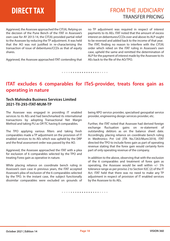# **DIRECT TAX**

Aggrieved, the Assessee approached the CIT(A). Relying on the decision of the Pune Bench of the ITAT in Assessee's own case for AY 2013-14, the CIT(A) provided partial relief to the Assessee by reducing the TP adjustment. It was held that the AO was not justified in re-characterising the transaction of issue of debentures/CCDs as that of equity shares.

Aggrieved, the Assessee approached ITAT contending that

no TP adjustment was required in respect of interest payments to its AEs. ITAT noted that the amount of excess interest on debentures/CCDs over and above its ALP ought to be reversed and added back to the income of that year. The ITAT, finding no reason to interfere with the  $CIT(A)$ order which relied on the ITAT ruling in Assessee's own case, upheld the same and remitted the determination of ALP for the payment of interest made by the Assessee to its AEs back to the file of the AO/TPO.

*• • • • • • • • • • • • • • • • • • • • •* 

### **ITAT excludes 6 comparables for ITeS-provider, treats forex gain as operating in nature**

#### **Tech Mahindra Business Services Limited 2021-TII-293-ITAT-MUM-TP**

The Assessee was engaged in providing IT enabled services to its AEs and had benchmarked its international transactions by adopting Transactional Net Margin Method and taking PLI as OP/TC having 8 comparables.

The TPO applying various filters and taking fresh comparables made a TP adjustment on the provision of IT enabled services to its AEs which was upheld by the DRP and the final assessment order was passed by the AO.

Aggrieved, the Assessee approached the ITAT with a plea for exclusion of 6 comparables selected by the TPO and treating Forex gain as operative in nature.

While placing reliance on coordinate bench ruling in Assessee's own case in previous years, the ITAT accepted Assessee's plea of exclusion of the 6 comparables selected by the TPO. In the instant case, the subject functionally dissimilar comparables were excluded on grounds of

being KPO service provider, specialised geospatial service provider, engineering design services provider, etc.

Further, the ITAT noted that Assessee had derived foreign exchange fluctuation gains on re-statement of outstanding debtors as on the balance sheet date. Accordingly, placing reliance on coordinate bench ruling in Medtronics Pvt Ltd [ITA No.7263/Mum/2018, ITAT directed the TPO to include forex gain as part of operating revenue stating that the forex gain would certainly form part of only operating revenue of the company.

In addition to the above, observing that with the exclusion of the 6 comparables and treatment of forex gain as operating, the Assessee would be well within  $+/- 5\%$ tolerance range as per proviso 2 to Section 92C (2) of the IT Act. ITAT held that there was no need to make any TP adjustment in respect of provision of IT enabled services by the Assessee to its AEs.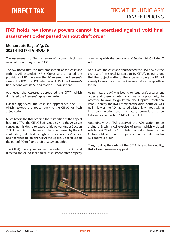### **ITAT holds revisionary powers cannot be exercised against void final assessment order passed without draft order**

#### **Mohan Jute Bags Mfg. Co 2021-TII-317-ITAT-KOL-TP**

The Asseessee had filed its return of income which was selected for scrutiny under CASS.

The AO noted that the total transaction of the Assessee with its AE exceeded INR 5 Crores and attracted the provisions of TP; therefore, the AO referred the Assessee's case to the TPO. The TPO determined ALP of the Assessee's transactions with its AE and made a TP adjustment.

Aggrieved, the Assessee approached the CIT(A) which dismissed the Assessee's appeal ex parte.

Further aggrieved, the Assessee approached the ITAT which restored the appeal back to the CIT(A) for fresh adjudication.

Much before the ITAT ordered the restoration of the appeal back to CIT(A), the CIT(A) had issued SCN to the Assessee conveying his desire to exercise his power under Section 263 of the IT Act to intervene in the order passed by the AO contending that it had the right to do so since the Assessee had not raised before the CIT(A) the legal issue of failure on the part of AO to frame draft assessment order.

The CIT(A) thereby set asides the order of the AO and directed the AO to make fresh assessment after properly

complying with the provisions of Section 144C of the IT Act.

Aggrieved, the Assessee approached the ITAT against the exercise of revisional jurisdiction by CIT(A), pointing out that the subject matter of the issue regarding the TP had already been agitated by the Assessee before the appellate forum.

As per law, the AO was bound to issue draft assessment order and thereby, inter alia give an opportunity to Assessee to avail to go before the Dispute Resolution Panel. Thereby, the ITAT noted that the order of the AO was null in law as the AO had acted arbitrarily without taking into consideration the mandatory procedure to be followed as per Section 144C of the IT Act.

Accordingly, the ITAT observed the AO's action to be arbitrary & whimsical exercise of power which violated Article 14 & 21 of the Constitution of India. Therefore, the CIT(A) could not exercise his jurisdiction to interfere with a null and void order.

Thus, holding the order of the CIT(A) to also be a nullity, ITAT allowed Assessee's appeal.

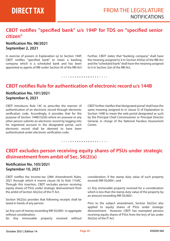### CBDT notifies "specified bank" u/s 194P for TDS on "specified senior **citizen"**

#### **Notication No. 98/2021 September 2, 2021**

In exercise of powers in Explanation (a) to Section 194P, CBDT notifies "specified bank" to mean a banking company which is a scheduled bank and has been appointed as agents of RBI under Section 45 of the RBI Act'.

Further, CBDT states that "banking company" shall have the meaning assigned to it in Section 45A(a) of the RBI Act and the "scheduled bank" shall have the meaning assigned to it in Section 2(e) of the RBI Act.

#### *• • • • • • • • • • • • • • • • • • • • •*

### **CBDT notifies Rule for authentication of electronic record u/s 144B**

### **Notication No. 101/2021 September 6, 2021**

CBDT introduces Rule 14C to prescribe the manner of authentication of an electronic record through electronic verification code. Accordingly, it provides that for the purpose of Section 144B(7)(i)(b) where an assessee or any other person submits an electronic record by logging into his registered account in the designated portal, such electronic record shall be deemed to have been authenticated under electronic verification code.

CBDT further clarifies that 'designated portal' shall have the same meaning assigned to in clause (i) of Explanation to Section 144B to mean the web portal designated as such by the Principal Chief Commissioner or Principal Director General, in charge of the National Faceless Assessment Centre.

*• • • • • • • • • • • • • • • • • • • • •* 

### **CBDT excludes person receiving equity shares of PSUs under strategic disinvestment from ambit of Sec. 56(2)(x)**

#### **Notication No. 105/2021 September 10, 2021**

CBDT notifies the Income-tax (28th Amendment) Rules, 2021 through which it inserts clause (4) to Rule 11UAC. Through this insertion, CBDT excludes person receiving equity shares of PSUs under strategic disinvestment from the ambit of Section 56(2)(x) of the IT Act.

Section 56(2)(x) provides that following receipts shall be taxed in hands of any person:

(a) Any sum of money exceeding INR 50,000/- in aggregate without consideration;

(b) Any immovable property received without

consideration, if the stamp duty value of such property exceeds INR 50,000/-; and

(c) Any immovable property received for a consideration which is less than the stamp duty value of the property by an amount exceeding INR 50,000/-.

Prior to the subject amendment, Section 56(2)(x) also applied to equity shares of PSUs under strategic disinvestment. However, CBDT has exempted persons receiving equity shares of PSUs from the levy of tax under  $56(2)(x)$  of the IT Act.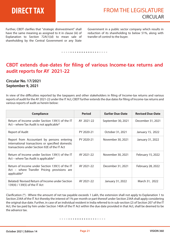Further, CBDT clarifies that "strategic disinvestment" shall have the same meaning as assigned to it in clause (iii) of Explanation to Section 72A(1)(d) to mean sale of shareholding by the Central Government or any State

Government in a public sector company which results in reduction of its shareholding to below 51%, along with transfer of control to the buyer.

*• • • • • • • • • • • • • • • • • • • • •* 

### **CBDT extends due-dates for filing of various Income-tax returns and audit reports for AY 2021-22**

#### **Circular No. 17/2021 September 9, 2021**

In view of the difficulties reported by the taxpayers and other stakeholders in filing of Income-tax returns and various reports of audit for the AY 2021-22 under the IT Act, CBDT further extends the due dates for filing of Income-tax returns and various reports of audit as herein below:

| <b>Compliance</b>                                                                                                                              | <b>Period</b> | <b>Earlier Due-Date</b> | <b>Revised Due-Date</b> |
|------------------------------------------------------------------------------------------------------------------------------------------------|---------------|-------------------------|-------------------------|
| Return of Income under Section 139(1) of the IT<br>Act – where Tax Audit is not applicable*                                                    | AY 2021-22    | September 30, 2021      | December 31, 2021       |
| Report of Audit                                                                                                                                | PY 2020-21    | October 31, 2021        | January 15, 2022        |
| Report from Accountant by persons entering<br>international transactions or specified domestic<br>transactions under Section 92E of the IT Act | PY 2020-21    | November 30, 2021       | January 31, 2022        |
| Return of Income under Section 139(1) of the IT<br>Act – where Tax Audit is applicable*                                                        | AY 2021-22    | November 30, 2021       | February 15, 2022       |
| Return of Income under Section 139(1) of the IT<br>Act – where Transfer Pricing provisions are<br>applicable*                                  | AY 2021-22    | December 31, 2021       | February 28, 2022       |
| Belated/Revised Return of Income under Section<br>139(4) / 139(5) of the IT Act                                                                | AY 2021-22    | January 31, 2022        | March 31, 2022          |

Clarification  $(*)$  - Where the amount of net tax payable exceeds 1 Lakh, the extension shall not apply to Explanation 1 to Section 234A of the IT Act thereby the interest of 1% per month or part thereof under Section 234A shall apply considering the original due date. Further, in case of an individual resident in India referred to in sub-section (2) of Section 207 of the IT Act, the tax paid by him under Section 140A of the IT Act within the due date provided in that Act, shall be deemed to be the advance tax.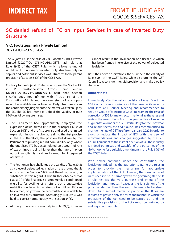### **SC denied refund of ITC on Input Services in case of Inverted Duty Structure**

#### **VKC Footsteps India Private Limited 2021-TIOL-237-SC-GST**

The Gujarat HC in the case of VKC Footsteps India Private Limited [2020-TIOL-1273-HC-AHM-GST], had held that Rule 89(5) of the CGST Rules which allows refund of unutilized ITC in case of inverted duty structure only on 'inputs' and not 'input services' was ultra vires to the parent provision of Section 54(3) of the CGST Act.

Contrary to the Gujarat HC decision (supra), the Madras HC in TVL Transtonnelstroy Afcons Joint Venture **[2020-TIOL-1599-HC-MAD-GST]**, held that Section 54(3)(ii) does not infringe with Article 14 of the Constitution of India and therefore refund of only inputs would be available under Inverted Duty Structure. Given the contradictory judgements, the matter was taken up by the SC. The SC has inter alia upheld the validity of Rule 89(5) on following premises:

- The Parliament had appropriately employed the expression of 'unutilized ITC' in the principal clause of Section 54(3) and the first proviso and used the limited expression 'inputs' in sub-clause (ii) to the first proviso in the IDS. Therefore, the position laid down by the Parliament stipulating refund admissibility only where the unutilized ITC has accumulated on account of rate of tax on inputs being higher than the rate of tax on output supplies is valid and cannot be interpreted otherwise.
- The Petitioners had challenged the validity of Rule 89(5) as a piece of delegated legislation on the ground that it ultra vires the Section 54(3) and therefore, lacking in substance. In this regard, it was further observed that clause (ii) of the first proviso is not merely a condition of eligibility for availing of a refund but a substantive restriction under which a refund of unutilized ITC can be claimed, only when the accumulation is relatable to an inverted duty structure. Accordingly, Rule 89(5) was held to coexist harmoniously with Section 54(3).
- Although there exists anomaly in Rule 89(5), it per se

cannot result in the invalidation of a fiscal rule which has been framed in exercise of the power of delegated legislation.

Basis the above observations, the SC upheld the validity of Rule 89(5) of the CGST Rules, while also urging the GST Council to reconsider the said provision and make a policy decision.

#### **Authors' Note**

Immediately after the instant decision of Apex Court, the GST Council took cognizance of the issue in its recently held 45th GST Council Meeting and recommended to set-up a Group of Ministries ('GoM') to examine the issue of correction of IDS for major sectors, rationalize the rates and review the exemptions from the perspective of revenue augmentation under the GST. Particularly for the Footwear and Textile sector, the GST Council has recommended to change the rate of GST itself from January 2022 in order to avoid or reduce the impact of IDS. With the slew of recommendations and changes suggested by the GST Council pursuant to the instant decision of SC, the industry is indeed optimistic and watchful of the outcomes of the GoM, hoping for a suitable amendment in the Rule 89(5) of the CGST Rules.

With power conferred under the constitution, the legislature indeed has the authority to frame the rules in order to provide the mechanism for appropriate implementation of the Act. However, the formulation of rules needs to be in harmony with the governing statute. If a rule restricts the very purpose and intent of the legislation and imposes / exceeds the jurisdiction of the principal statute, then the said rule needs to be struck down. As a settled matter of principle, the Rules are required to provide only the form and manner in which the provisions of the Act need to be carried out and the substantive provisions of the Act cannot be curtailed by making a contrary rule.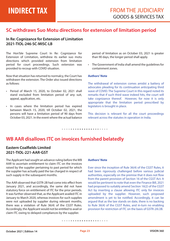### **SC withdraws Suo Motu directions for extension of limitation period**

#### **In Re: Cognizance for Extension of Limitation 2021-TIOL-246-SC-MISC-LB**

The Hon'ble Supreme Court In Re: Cognizance for Extension of Limitation, withdrew its earlier suo motu directions which provided extension from limitation period for court proceedings. Such extension was provided to recoup with COVID situation.

Now that situation has returned to normalcy, the Court has withdrawn the extension. The Order also issued directions as follows:

- Period of March 15, 2020, to October 02, 2021 shall stand excluded from limitation period of any suit, appeal, application, etc.
- In cases where the limitation period has expired between March 15, 2020, till October 02, 2021, the persons will have a limitation period of 90 days from October 03, 2021. In the event where the actual balance

period of limitation as on October 03, 2021 is greater than 90 days, the longer period shall apply.

• The Government of India shall amend the guidelines for containment zones.

#### **Authors' Note**

The withdrawal of extension comes amidst a battery of advocates pleading for its continuation anticipating third wave of COVID. The Supreme Court in this regard noted its remarks that if such third wave indeed hits, the court will take cognizance thereof. However, for now it is only appropriate that the limitation period prescribed by legislators is brought in place.

This decision is relevant for all the court proceedings relevant across the statutes in operation in India.

### *• • • • • • • • • • • • • • • • • • • • •*

### **WB AAR disallows ITC on invoices furnished belatedly**

#### **Eastern Coalfields Limited 2021-TIOL-221-AAR-GST**

The Applicant had sought an advance ruling before the WB AAR to ascertain entitlement to claim ITC on the invoices raised by the supplier pertaining to past period for which the supplier has actually paid the tax charged in respect of such supply in the subsequent months.

The AAR observed that GSTR-2B had come into effect from January 2021, and accordingly, the same did not have statutory force on entitlement of ITC for the prior periods. It was further observed that, as the Applicant availed ITC in January to March 2020, whereas invoices for such supplies were not uploaded by supplier during relevant months, there was a violation of Rule 36(4) of the CGST Rules. Accordingly, the Applicant would not be entitled to avail or claim ITC owing to delayed compliances by the supplier.

#### **Authors' Note**

Ever since the inception of Rule 36(4) of the CGST Rules, it had been rigorously challenged before various judicial authorities, especially on the premise that it does not flow from the parent provision of Section 16 of the CGST Act. It would be pertinent to note that even the Finance Bill, 2021 had proposed to suitably amend Section 16(2) of the CGST Act by inserting a clause allowing ITC only for invoices uploaded by the supplier. However, such proposed amendment is yet to be notified. Accordingly, it can be argued that as the law stands on date, there is no backing to Rule 36(4) of the CGST Rules, and in-turn no enabling provision for restriction of ITC on the basis of GSTR-2A/2B.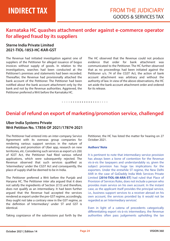### **Karnataka HC quashes attachment order against e-commerce operator for alleged fraud by its suppliers**

### **Sterne India Private Limited 2021-TIOL-1853-HC-KAR-GST**

The Revenue had initiated investigation against one of suppliers of the Petitioner for alleged issuance of bogus invoices without supply of goods. In relation to the investigations, searches had been conducted at the Petitioner's premises and statements had been recorded. Thereafter, the Revenue had provisionally attached the bank account of the Petitioner. The Petitioner had been notified about the bank account attachment only by the bank and not by the Revenue authorities. Aggrieved, the Petitioner preferred a Writ before the Karnataka HC.

The HC observed that the Revenue could not produce evidence that order for bank attachment was communicated to the Petitioner. The HC further observed that as no proceedings had been initiated against the Petitioner u/s. 74 of the CGST Act, the action of bank account attachment was arbitrary and without the authority of law. In view of the above observations, the HC set aside the bank account attachment order and ordered for its release.

### *• • • • • • • • • • • • • • • • • • • • •*

### **Denial of refund on export of marketing/promotion service, challenged**

#### **Uber India Systems Private Writ Petition No. 17856 OF 2021/17874-2021**

The Petitioner had entered into an inter-company Service Agreement with its overseas group companies for rendering various support services in the nature of marketing and promotion of Uber app, research on new territories, etc. Considering such services as export u/s 2(6) of IGST Act, the Petitioner had filed various refund applications, which were subsequently rejected. The Revenue observed that such services qualified as 'intermediary' under the CGST Act and consequently, the place of supply shall be deemed to be in India.

The Petitioner preferred a Writ before the Punjab and Haryana HC. The Petitioner inter alia argued that it does not satisfy the ingredients of Section 2(13) and therefore, does not qualify as an intermediary. It had been further argued that the Revenue had accepted the services rendered as export under the pre-GST regime, accordingly, they ought not take a contrary view in the GST regime, as the definition of 'intermediary' under ST and GST is identical.

Taking cognizance of the submissions put forth by the

Petitioner, the HC has listed the matter for hearing on 27 October 2021.

#### **Authors' Note**

It is pertinent to note that intermediary service provision has always been a bone of contention for the Revenue vis-à-vis the taxpayers and understandably so, given the subject provision has huge tax implications for the exporters. Under the erstwhile ST regime, the New Delhi AAR in the case of GoDaddy India Web Services Private Limited **[2016-TIOL-08-ARA-ST]** had ruled that Place of Provision of Services Rules, does not include a person who provides main service on his own account. In the instant case, as the applicant itself provides the principal service, i.e., business support services to a receiver abroad on his own account, the services provided by it would not be regarded as an 'intermediary services'.

Even in light of a catena of precedents categorically differentiating export vis-à-vis intermediary, the Revenue authorities often pass judgements upholding the tax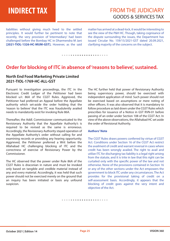liabilities without giving much heed to the settled principles. It would further be pertinent to note that recently, the very provision of 'intermediary' had been challenged before the Bombay HC in Dharmendra M Jani **[2021-TIOL-1326-HC-MUM-GST].** However, as the said

matter has arrived at a dead-lock, it would be interesting to see the view of the P&H HC. Though, taking cognisance of the dispute surrounding the issues, the Department has issued Circular No. 159/15/2021-GST dated 20.09.2021, clarifying majority of the concerns on the subject.

*• • • • • • • • • • • • • • • • • • • • •* 

### **Order for blocking of ITC in absence of 'reasons to believe', sustained.**

### **North End Food Marketing Private Limited 2021-TIOL-1769-HC-ALL-GST**

Pursuant to investigation proceedings, the ITC in the Electronic Credit Ledger of the Petitioner had been blocked u/r. 86A of the CGST Rules. Aggrieved, the Petitioner had preferred an Appeal before the Appellate authority which set-aside the order holding that the 'reason to believe' that the ITC was fraudulently availed needs to mandatorily exist for invoking Rule 86A.

Thereafter, the Addl. Commissioner communicated to the Revisionary Authority that the Appellate Authority's is required to be revised as the same is erroneous. Accordingly, the Revisionary Authority stayed operation of the Appellate Authority's order without calling for and examining records or providing any hearing opportunity. Aggrieved, the Petitioner preferred a Writ before the Allahabad HC challenging blocking of ITC and the correctness of exercise of Revisionary Power by the Commissioner.

The HC observed that the power under Rule 86A of the CGST Rules is draconian in nature and must be invoked only based on tangible and credible material instead of any and every material. Accordingly, it was held that such power should not be exercised merely on the ground that an inquiry has been initiated or basis any unfound suspicion.

The HC further held that power of Revisionary Authority being supervisory power, should be exercised with independent application of mind. Such power should not be exercised based on assumptions or mere noting of other officers. It was also observed that it is mandatory to follow procedure as laid down under the CGST Rules which prescribes for issuance of a Notice in GST RVN-01 before passing of an order under Section 108 of the CGST Act. In view of the above observations, the Allahabad HC set aside the order of Revisional Authority.

#### **Authors' Note**

The CGST Rules draws powers conferred by virtue of CGST Act. Conditions under Section 16 of the CGST Act restrict the availment of credit and warrant reversal in cases where credit has been wrongly availed. The right to avail and utilize ITC for discharging tax liability is a legal right arising from the statute, and it is trite in law that this right can be curtailed only with the specific power of the law and not otherwise. None of the provisions contained in Section 16 or any of the other sections under the Act empowers the government to block ITC under any circumstances. The Act provides for the provisional taking of credit on a self-assessment basis. Accordingly, it appears that the blocking of credit goes against the very intent and objective of the Act.

**October 2021 | Edition 14 Page 25 VISION 360**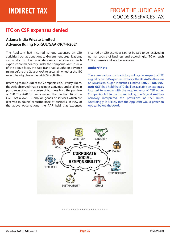### **ITC on CSR expenses denied**

### **Adama India Private Limited Advance Ruling No. GUJ/GAAR/R/44/2021**

The Applicant had incurred various expenses on CSR activities such as donations to Government organizations, civil works, distribution of stationary, medicine etc. Such expenses are mandatory under the Companies Act. In view of the above facts, the Applicant had sought an advance ruling before the Gujarat AAR to ascertain whether the ITC would be eligible on the said CSR activities.

Referring to Rule 2(d) of the Companies (CSR Policy) Rules, the AAR observed that it excludes activities undertaken in pursuance of normal course of business from the purview of CSR. The AAR further observed that Section 16 of the CGST Act allows ITC only on goods or services which are received in course or furtherance of business. In view of the above observations, the AAR held that expenses

incurred on CSR activities cannot be said to be received in normal course of business and accordingly, ITC on such CSR expenses shall not be available.

#### **Authors' Note**

There are various contradictory rulings in respect of ITC eligibility on CSR expenses. Notably, the UP AAR in the case of Dwarikesh Sugar Industries Limited **[2020-TIOL-305- AAR-GST]** had held that ITC shall be available on expenses incurred to comply with the requirements of CSR under Companies Act. In the instant Ruling, the Gujarat AAR has narrowly interpreted the provisions of CSR Rules. Accordingly, it is likely that the Applicant would prefer an Appeal before the AAAR.

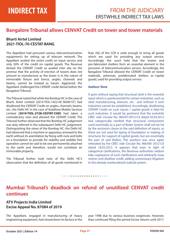### **Bangalore Tribunal allows CENVAT Credit on tower and tower materials**

### **Bharti Airtel Limited 2021-TIOL-70-CESTAT-BANG**

The Appellant had procured various telecommunication equipment's for setting up of telecom network. The Appellant availed the entire credit on input service and only 50% of the credit on capital goods. The Revenue denied the CENVAT Credit so availed inter alia on the premise that the activity of erection of towers does not amount to manufacture as the tower is in the nature of immovable fixture and hence, angles, channels and beams, cannot be treated as inputs. Aggrieved, the Appellant challenged the CENVAT credit denial before the Bangalore Tribunal.

The Tribunal noted that while the Bombay HC in the case of Bharti Airtel Limited [2014-TIOL-1452-HC-MUM-ST] had disallowed the CENVAT Credit on angles, channels, beams, etc., the Delhi HC in the case of Vodafone Mobile Services Limited **[2019-TIOL-3728-CESTAT-CHD]** had taken a contradictory view and allowed the CENVAT Credit. The Tribunal further observed that the Bombay HC judgement was duly referred in the subsequent Delhi HC judgement. Distinguishing the views of the Bombay HC, the Delhi HC had observed that a machine or apparatus annexed to the earth without its assimilation by fixing with nuts and bolts on a foundation to provide for stability and wobble free operation cannot be said to be one permanently attached to the earth and therefore, would not constitute an immovable property.

The Tribunal further took note of the Delhi HC's observation that the definition of all goods mentioned in

Rule 2(k) of the CCR is wide enough to bring all goods which are used for providing any output service. Accordingly, the court held that the towers and pre-fabricated shelters form an essential element in the provision of telecommunication service. Accordingly, the Bangalore Tribunal allowed the CENVAT Credit on tower materials, antennae, prefabricated shelters as 'capital goods', used for providing output service.

#### **Authors' Note**

It goes without saying that structural steel is the essential input which is quintessential for certain industries, such as steel manufacturing, telecom, etc. and without it such industries cannot be established. Accordingly, disallowing CENVAT Credit on such inputs / capital goods is fatal for such industries. It would be pertinent that the erstwhile CBEC vide Circular No. 964/07/2012-CX dated 02.04.2012 had categorically clarified that structural components used essentially as a part of Boiler System shall not be hit by the exclusion clause to the said definition of inputs, as these are not used for laying of foundation or making of structures for support of capital goods, but are essentially the part of said Boilers. This position was once again reiterated by the CBEC vide Circular No. 966/09/ 2012-CX dated 18.05.2012. It appears that even in light of categorical clarifications, the Revenue authorities seldom take cognizance of such clarifications and arbitrarily issue notices and disallow credit, adding unnecessary litigation to the already overburdened Judicial system.

#### *• • • • • • • • • • • • • • • • • • • • •*

### **Mumbai Tribunal's deadlock on refund of unutilized CENVAT credit continues**

### **ATV Projects India Limited Excise Appeal No. 87084 of 2019**

The Appellant, engaged in manufacturing of heavy engineering equipment, had closed down its factory in the year 1998 due to various business exigencies. However, they continued filing the period Excise returns until 2017.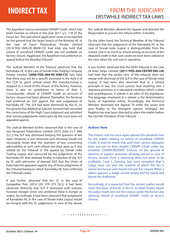The Appellant had accumulated CENVAT Credit, which had been claimed as refund in the year 2017 u/s. 11B of the Excise Act. The said refund application came to be rejected on the ground that the larger bench of the Bombay HC in the case of Gauri Plasticulture Private Limited [2019-TIOL-1806-HC-MUM-CX] had inter alia held that refund of unutilized CENVAT credit was not available on factory closure. Aggrieved, the Appellant had preferred an appeal before the Mumbai Tribunal.'

The Judicial Member of the Tribunal observed that the Karnataka HC in the case of Slovak India Trading Company Private Limited **[2006-TIOL-469-HC-KAR-CX]** had held that there may not be a specific provision in the Rule 5 of the CCR to grant refund when the manufacturing is stopped as a result of the closure of the factory, however, there is also no prohibition in terms of Rule 5. Consequently, refund of CENVAT Credit on account of factory closure had been allowed. Thereafter, the Revenue had preferred an SLP against the said judgement of Karnataka HC. The SLP had been dismissed by the SC on the ground that Additional Solicitor General had conceded the correctness of the High Court judgment and admitted that various judgements relied upon by the court were not appealed against.

The Judicial Member further observed that in the case of Jain Vanguard Polybutlene Limited [2015 (326) E.L.T. A86 (S.C.)] the SLP was dismissed keeping the question of law open. However, it was observed such dismissal would not necessarily mean that the question of law concerning admissibility of such cash refund was kept open as it was settled by the Tribunal in the appeal by Slovak India Trading (supra) and concurred by the judgement of the Karnataka HC that attained finality in rejection of the SLP by SC with admission of learned ASG that the Union of India had not appealed against any of those judgments of the Tribunal basing on which Karnataka HC had confirmed the Tribunal's order.

It was further observed that the SC in the case of Gangadhar Palo [2012 (25) STR 273 (SC)], it had been observed distinctly that SLP if dismissed with reasons, however meagre (even one sentence) there is merger or orders. Accordingly, it had been observed that judgement of Karnataka HC in the case of Slovak India (supra) would be merged with the SC judgement. In view of the above, the Judicial Member allowed the Appeal and directed the Respondent to process the refund within 3 months.

On the other hand, the Technical Member of the Tribunal observed that the judgement of the Karnataka HC in the case of Slovak India (supra) is distinguishable from the instant case in as much as refund arising on account of the disputed credit in that case could not have been utilized at the time when the unit was in operation.

It was further observed that the Delhi Tribunal in the case of Steel Strips Limited **[2011-TIOL-656-CESTAT-DEL-LB]**  had held that the earlier view of the tribunal does not merge with dismissal of the SLP in the case of Slovak India (supra). It had been also observed that as a settled principle in law, the court cannot read anything into a statutory provision or a stipulated condition which is plain and unambiguous. A statute is an edict of the legislature. The language employed in a statute is the determinative factor of legislative intent. Accordingly, the Technical Member dismissed the Appeal. To settle the issues and give finality to the divergent opinion emerged, the Registry has now been directed to place the matter before the Hon'ble President of the Tribunal.

#### **Authors' Note**

The instant case has once again opened the pandora's box for the matter relating to refund of unutilized CENVAT Credit. It shall be noted that until now, various taxpayers have lost out on their eligible CENVAT Credit under the erstwhile CENVAT/MODVAT Scheme, on the ground of absence of express provision allowing refund in case of factory closure. Such a reasoning does not seem to be justifiable. Lord J. Denning had once remarked that 'a Judge must not alter the material of which the Act is woven but he can and should iron out the creases. When a defect appears, a Judge cannot simply fold his hands and blame the draftsman.'

Accordingly, it is expected that the instant matter would reach the doors of the HC or the SC to attain finality where the judge might iron out the creases under the Excise Law, allowing refund of unutilized CENVAT Credit on factory closure.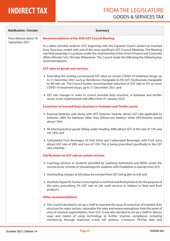$\sim$ 

### **INDIRECT TAX** FROM THE LEGISLATURE GOODS & SERVICES TAX

| <b>Notification / Circular</b>           | <b>Summary</b>                                                                                                                                                                                                                                                                                                                                                                                                                               |
|------------------------------------------|----------------------------------------------------------------------------------------------------------------------------------------------------------------------------------------------------------------------------------------------------------------------------------------------------------------------------------------------------------------------------------------------------------------------------------------------|
| Press Release dated 18<br>September 2021 | <b>Recommendations of the 45th GST Council Meeting</b>                                                                                                                                                                                                                                                                                                                                                                                       |
|                                          | In a rather eventful week for GST, beginning with the Supreme Court's verdict on Inverted<br>Duty Structure, ended with one of the most significant GST Council Meetings. The Meeting<br>was held yesterday in Lucknow under the chairmanship of the Union Finance and Corporate<br>Affairs Minister Smt. Nirmala Sitharaman. The Council made the following the following key<br>recommendations:                                           |
|                                          | <b>GST rates on goods and services:</b>                                                                                                                                                                                                                                                                                                                                                                                                      |
|                                          | Extending the existing concessional GST rates on certain COVID-19 treatment drugs, up<br>to 31 December 2021 such as Remdesivir chargeable to 5% GST, Tocilizumab chargeable<br>to Nil rate, etc. The Council further recommended reduction of GST rate to 5% on more<br>COVID-19 treatment drugs, up to 31 December 2021; and                                                                                                               |
|                                          | GST rate changes in order to correct inverted duty structure, in footwear and textiles<br>sector, to be implemented with effect from 01 January 2022.                                                                                                                                                                                                                                                                                        |
|                                          | <b>Correction in Inverted Duty structure in Footwear and Textiles sector</b>                                                                                                                                                                                                                                                                                                                                                                 |
|                                          | External batteries sold along with UPS Systems/ Inverter attract GST rate applicable to<br>batteries [28% for batteries other than lithium-ion battery] while UPS/inverter would<br>attract 18%;                                                                                                                                                                                                                                             |
|                                          | ▶ All pharmaceutical goods falling under heading 3006 attract GST at the rate of 12% and<br>not 18%; and                                                                                                                                                                                                                                                                                                                                     |
|                                          | Carbonated Fruit Beverages of Fruit Drink and Carbonated Beverages with Fruit Juice<br>attract GST rate of 28% and Cess of 12%. This is being prescribed specifically in the GST<br>rate schedule.                                                                                                                                                                                                                                           |
|                                          | <b>Clarifications on GST rate on certain services</b>                                                                                                                                                                                                                                                                                                                                                                                        |
|                                          | ▶ Coaching services to students provided by coaching institutions and NGOs under the<br>central sector scheme of Scholarships for students with Disabilities is exempt from GST;                                                                                                                                                                                                                                                             |
|                                          | ▶ Overloading charges at toll plaza are exempt from GST being akin to toll; and                                                                                                                                                                                                                                                                                                                                                              |
|                                          | ▶ Alcoholic liquor for human consumption is not food and food products for the purpose of<br>the entry prescribing 5% GST rate on job work services in relation to food and food<br>products.                                                                                                                                                                                                                                                |
|                                          | <b>Other recommendations</b>                                                                                                                                                                                                                                                                                                                                                                                                                 |
|                                          | The Council decided to set up a GoM to examine the issue of correction of inverted duty<br>structure for major sectors, rationalize the rates and review exemptions from the point of<br>view of revenue augmentation, from GST. It was also decided to set up a GoM to discuss<br>ways and means of using technology to further improve compliance including<br>monitoring through improved e-way bill systems, e-invoices, FASTag data and |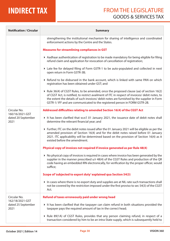| <b>Notification / Circular</b>                | <b>Summary</b>                                                                                                                                                                                                                                                                                                                                                         |
|-----------------------------------------------|------------------------------------------------------------------------------------------------------------------------------------------------------------------------------------------------------------------------------------------------------------------------------------------------------------------------------------------------------------------------|
|                                               | strengthening the institutional mechanism for sharing of intelligence and coordinated<br>enforcement actions by the Centre and the States.                                                                                                                                                                                                                             |
|                                               | <b>Measures for streamlining compliances in GST</b>                                                                                                                                                                                                                                                                                                                    |
|                                               | Aadhaar authentication of registration to be made mandatory for being eligible for filing<br>refund claim and application for revocation of cancellation of registration;                                                                                                                                                                                              |
|                                               | ▶ Late fee for delayed filing of Form GSTR-1 to be auto-populated and collected in next<br>open return in Form GSTR-3B;                                                                                                                                                                                                                                                |
|                                               | ▶ Refund to be disbursed in the bank account, which is linked with same PAN on which<br>registration has been obtained under GST; and                                                                                                                                                                                                                                  |
|                                               | ▶ Rule 36(4) of CGST Rules, to be amended, once the proposed clause (aa) of section 16(2)<br>of CGST Act, is notified, to restrict availment of ITC in respect of invoices/ debit notes, to<br>the extent the details of such invoices/ debit notes are furnished by the supplier in Form<br>GSTR-1/IFF and are communicated to the registered person in FORM GSTR-2B. |
| Circular No.                                  | Addressed difficulties relating to amended Section 16(4) of the CGST Act                                                                                                                                                                                                                                                                                               |
| 160/16/2021-GST<br>dated 20 September<br>2021 | It has been clarified that w.e.f. 01 January 2021, the issuance date of debit notes shall<br>determine the relevant financial year; and                                                                                                                                                                                                                                |
|                                               | Further, ITC on the debit notes issued after the 01 January 2021 will be eligible as per the<br>amended provision of Section 16(4) and for the debit notes raised before 01 January<br>2021. ITC applicability will be determined based on the provision of Section 16(4) as it<br>existed before the amendment.                                                       |
|                                               | Physical copy of invoices not required if invoice generated as per Rule 48(4)                                                                                                                                                                                                                                                                                          |
|                                               | ▶ No physical copy of invoices is required in cases where invoice has been generated by the<br>supplier in the manner prescribed u/r 48(4) of the CGST Rules and production of the QR<br>code having an embedded IRN electronically, for verification by the proper officer, would<br>suffice;                                                                         |
|                                               | Scope of 'subjected to export duty' explained qua Section 54(3)                                                                                                                                                                                                                                                                                                        |
|                                               | In cases where there is no export duty and supplies are at NIL rate such transactions shall<br>not be covered by the restriction imposed under the first proviso to sec 54(3) of the CGST<br>Act.                                                                                                                                                                      |
| Circular No.                                  | Refund of taxes erroneously paid under wrong head                                                                                                                                                                                                                                                                                                                      |
| 162/18/2021-GST<br>dated 25 September<br>2021 | It has been clarified that the taxpayer can claim refund in both situations provided the<br>taxpayer pays the required amount of tax in the correct head;                                                                                                                                                                                                              |
|                                               | Rule 89(1A) of CGST Rules, provides that any person claiming refund, in respect of a<br>transaction considered by him to be an intra-State supply, which is subsequently held to                                                                                                                                                                                       |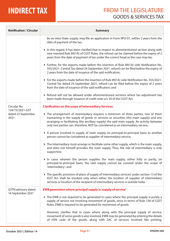| <b>Notification / Circular</b>                  | <b>Summary</b>                                                                                                                                                                                                                                                                                                                                             |
|-------------------------------------------------|------------------------------------------------------------------------------------------------------------------------------------------------------------------------------------------------------------------------------------------------------------------------------------------------------------------------------------------------------------|
|                                                 | be an inter-State supply, may file an application in Form RFD-01, within 2 years from the<br>date of payment of the tax;                                                                                                                                                                                                                                   |
|                                                 | In this regard, it has been clarified that in respect to aforementioned section along with<br>new inserted Rule 89(1A) of CGST Rules, the refund can be claimed before the expiry of 2<br>years from the date of payment of tax under the correct head as the case may be;                                                                                 |
|                                                 | Further, for the exports made before the insertion of Rule 89(1A) vide Notification No.<br>355/2021- Central Tax dated 24 September 2021, refund can be filed before the expiry of<br>2 years from the date of issuance of the said notification;                                                                                                          |
|                                                 | ▶ For the exports made before the insertion of Rule 89(1A) vide Notification No. 355/2021-<br>Central Tax dated 24 September 2021, refund can be filed before the expiry of 2 years<br>from the date of issuance of the said notification; and                                                                                                             |
|                                                 | ▶ Refund will not be allowed under aforementioned sections where tax adjustment has<br>been made through issuance of credit note u/s 34 of the CGST Act.                                                                                                                                                                                                   |
| Circular No.<br>159/15/2021-GST                 | <b>Clarification on the scope of Intermediary Services</b>                                                                                                                                                                                                                                                                                                 |
| dated 23 September<br>2021                      | The arrangement of intermediary requires a minimum of three parties, two of them<br>transacting in the supply of goods or services or securities (the main supply) and one<br>arranging or facilitating (the ancillary supply) the said main supply. An activity between<br>only two parties can, therefore, NOT be considered as an intermediary service; |
|                                                 | A person involved in supply of main supply on principal-to-principal basis to another<br>person cannot be considered as supplier of intermediary service;                                                                                                                                                                                                  |
|                                                 | $\triangleright$ The Intermediary must arrange or facilitate some other supply, which is the main supply,<br>and does not himself provides the main supply. Thus, the role of intermediary is only<br>supportive;                                                                                                                                          |
|                                                 | In cases wherein the person supplies the main supply, either fully or partly, on<br>principal-to-principal basis, the said supply cannot be covered under the scope of<br>'intermediary'; and                                                                                                                                                              |
|                                                 | The specific provision of place of supply of 'intermediary services' under section 13 of the<br>IGST Act shall be invoked only when either the location of supplier of intermediary<br>services or location of the recipient of intermediary services is outside India.                                                                                    |
| <b>GSTN</b> advisory dated<br>16 September 2021 | <b>EWB generation where principal supply is 'supply of service'</b>                                                                                                                                                                                                                                                                                        |
|                                                 | The EWB is not required to be generated in cases where the principal supply is purely a<br>supply of service not involving movement of goods, since in terms of Rule 138 of CGST<br>Rules, EWB is required to be generated for movement of goods.                                                                                                          |
|                                                 | However, clarifies that in cases where along with the principal supply of service,<br>movement of some goods is also involved, EWB may be generated by entering the details<br>of HSN code of the goods, along with SAC of services involved like printing,                                                                                                |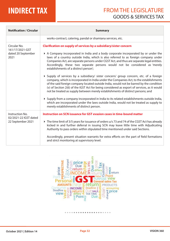| <b>Notification / Circular</b>                                | <b>Summary</b>                                                                                                                                                                                                                                                                                                                                                                                                                                                                                                                                                                                                                                                                                                                                                                                                                                                                                                                                                                                                                                                                                                                                                                  |
|---------------------------------------------------------------|---------------------------------------------------------------------------------------------------------------------------------------------------------------------------------------------------------------------------------------------------------------------------------------------------------------------------------------------------------------------------------------------------------------------------------------------------------------------------------------------------------------------------------------------------------------------------------------------------------------------------------------------------------------------------------------------------------------------------------------------------------------------------------------------------------------------------------------------------------------------------------------------------------------------------------------------------------------------------------------------------------------------------------------------------------------------------------------------------------------------------------------------------------------------------------|
|                                                               | works-contract, catering, pandal or shamiana services, etc.                                                                                                                                                                                                                                                                                                                                                                                                                                                                                                                                                                                                                                                                                                                                                                                                                                                                                                                                                                                                                                                                                                                     |
| Circular No.<br>161/17/2021-GST<br>dated 20 September<br>2021 | <b>Clarification on supply of services by a subsidiary/sister concern</b><br>A Company incorporated in India and a body corporate incorporated by or under the<br>laws of a country outside India, which is also referred to as foreign company under<br>Companies Act, are separate persons under CGST Act, and thus are separate legal entities.<br>Accordingly, these two separate persons would not be considered as 'merely<br>establishments of a distinct person';<br>▶ Supply of services by a subsidiary/ sister concern/ group concern, etc. of a foreign<br>company, which is incorporated in India under the Companies Act, to the establishments<br>of the said foreign company located outside India, would not be barred by the condition<br>(v) of Section 2(6) of the IGST Act for being considered as export of services, as it would<br>not be treated as supply between merely establishments of distinct persons; and<br>▶ Supply from a company incorporated in India to its related establishments outside India,<br>which are incorporated under the laws outside India, would not be treated as supply to<br>merely establishments of distinct person. |
| Instruction No.<br>02/2021-22 IGST dated<br>22 September 2021 | Instruction on SCN issuance for GST evasion cases in time-bound matter<br>The time limit of 3/5 years for issuance of orders u/s 73 and 74 of the CGST Act has already<br>kicked in and further deferral in issuing SCN may leave little time with Adjudicating<br>Authority to pass orders within stipulated time mentioned under said Sections.<br>Accordingly, present situation warrants for extra efforts on the part of field formations<br>and strict monitoring at supervisory level.                                                                                                                                                                                                                                                                                                                                                                                                                                                                                                                                                                                                                                                                                   |

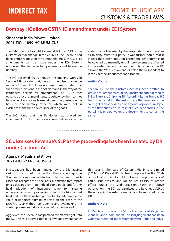### **Bombay HC allows GSTIN ID amendment under EDI System**

#### **Sinochem India Private Limited 2021-TIOL-1859-HC-MUM-CUS**

The Petitioner had sought to amend BOE u/s. 149 of the Customs Act for change in the GSTN ID. The Revenue had denied such request on the ground that no such GSTIN ID amendments can be made under the EDI System. Aggrieved, the Petitioner had preferred a Writ before the Bombay HC.

The HC observed that although the opening words of Section 149 provides that, "save as otherwise provided in sections 30 and 41", it has not been demonstrated that such other provisions in the Act do stand in the way of the Petitioners' prayers for amendment. The HC further observed that the amendments sought for by them cannot be allowed because such amendment is requested on the basis of documentary evidence which were not in existence at the time of clearance of the goods.

The HC noted that the Petitioner had prayed for amendment of documents only. Any deficiency in the system cannot be used by the Respondents as a shield so as to deny relief to a party. It was further noted that if indeed the system does not permit, the deficiency has to be covered up manually until improvements are affected in the system for such amendment. Accordingly, the HC allowed the Writ Petition and directed the Respondent to reconsider the amendment application.

#### **Authors' Note**

Section 149 of the Customs Act has been drafted to provide for amendment of any document and not merely Bill of Entry and Shipping Bill. Accordingly, the Bombay HC has correctly held in the instant case that exercise of the said right cannot be denied on account of procedural lapse at the Revenue's end. In case of such deficiencies in the portal, it is imperative on the Government to correct the same.

#### *• • • • • • • • • • • • • • • • • • • • •*

### **SC dismisses Revenue's SLP as the proceedings has been initiated by DRI under Customs Act**

### **Agarwal Metals and Alloys 2021-TIOL-233-SC-CUS-LB**

Investigations had been initiated by the DRI against various firms on information that they are indulging in 'Aluminium scrap' undervaluation. The Tribunal in such cases had accepted the Appellants' submission that import prices declared by it are indeed comparable and further held adoption of insurance value for alleging under-valuation as improper. Accordingly, the Tribunal had held that the Revenue had proceeded to redetermine the value of imported aluminium scrap on the basis of the DGOV circular without considering and overlooking the contemporaneous data available before it on record.

Aggrieved, the Revenue had pursued the matter right upto the SC. The SC observed that it its own judgement earlier this year in the case of Canon India Private Limited [2021-TIOL-123-SC-CUS-LB], had interpreted Section 28(4) of the Customs Act to hold that only 'the proper officer' could issue notices, and DRI do not classify as 'proper officer' under the said provision. Basis the above observation, the SC had dismissed the Revenue's SLP as the notices in the instant case had also been issued by the DRI.

#### **Authors' Note**

In March of this year, the SC had pronounced its judgement in Canon India (supra). The said judgement had been widely appreciated and welcomed by the Trade and Indus-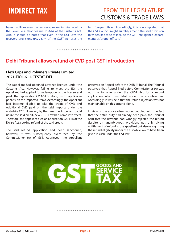### **INDIRECT TAX** FROM THE LEGISLATURE CUSTOMS & TRADE LAWS

try as it nullifies even the recovery proceedings initiated by the Revenue authorities u/s. 28AAA of the Customs Act. Also, it should be noted that even in the GST Law, the recovery provisions u/s. 73/74 of the CGST Act uses the term 'proper officer'. Accordingly, it is contemplated that the GST Council might suitably amend the said provision to widen its scope to include the GST Intelligence Departments as 'proper officers.'

#### *• • • • • • • • • • • • • • • • • • • • •*

### **Delhi Tribunal allows refund of CVD post GST introduction**

### **Flexi Caps and Polymers Private Limited 2021-TIOL-611-CESTAT-DEL**

The Appellant had obtained advance licenses under the Customs Act. However, failing to meet the EO, the Appellant had applied for redemption of the license and paid the applicable CVD/SAD along with applicable penalty on the imported items. Accordingly, the Appellant had become eligible to take the credit of CVD and Additional CVD paid on the said imports under the erstwhile CCE. However, by the time the Appellant could utilize the said credit, new CGST Law had come into effect. Therefore, the appellant filed an application  $u/s$ . 11B of the Excise Act, seeking refund of the said credit.

The said refund application had been sanctioned, however, it was subsequently overturned by the Commissioner (A) of GST. Aggrieved, the Appellant preferred an Appeal before the Delhi Tribunal. The Tribunal observed that Appeal filed before Commissioner (A) was not maintainable under the CGST Act for a refund application which was filed under the erstwhile law. Accordingly, it was held that the refund rejection was not maintainable on this ground alone.

In view of the above observation, coupled with the fact that the entire duty had already been paid, the Tribunal held that the Revenue had wrongly rejected the refund despite an unambiguous provision, not only giving entitlement of refund to the appellant but also recognizing the refund eligibility under the erstwhile law to have been given in cash under the GST law.

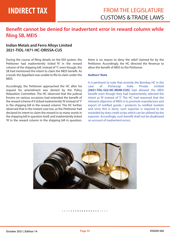### **Benefit cannot be denied for inadvertent error in reward column while ling SB, MEIS**

#### **Indian Metals and Ferro Alloys Limited 2021-TIOL-1871-HC-ORISSA-CUS**

During the course of filing details on the EDI system, the Petitioner had inadvertently ticked 'N' in the reward column of the shipping bill, instead of 'Y', even though, the SB had mentioned the intent to claim the MEIS benefit. As a result, the Appellant was unable to file its claim under the MEIS.

Accordingly, the Petitioner approached the HC after his request for amendment was denied by the Policy Relaxation Committee. The HC observed that the judicial forums on various occasions had extended the benefit of the reward scheme if it ticked inadvertently 'N' instead of 'Y' in the shipping bill in the reward column. The HC further observed that in the instant case too, as the Petitioner had declared its intent to claim the reward in as many words in the shipping bill in question itself, and inadvertently ticked 'N' in the reward column in the shipping bill in question,

there is no reason to deny the relief claimed for by the Petitioner. Accordingly, the HC directed the Revenue to allow the benefit of MEIS to the Petitioner.

#### **Authors' Note**

It is pertinent to note that recently the Bombay HC in the case of Portescap India Private Limited **[2021-TOL-522-HC-MUM-CUS]** had allowed the MEIS benefit even though they had inadvertently selected the intent as 'N' instead of 'Y'. The HC had reasoned that the inherent objective of MEIS is to promote manufacture and export of notified goods / products to notified markets and once this is done, such exporter is required to be rewarded by duty credit scrips which can be utilized by the exporter. Accordingly, such benefit shall not be disallowed on account of inadvertent errors.

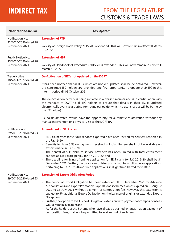# **INDIRECT TAX**

### FROM THE LEGISLATURE CUSTOMS & TRADE LAWS

| <b>Notification/Circular</b>                 | <b>Key Updates</b>                                                                                                                                                                                                                                                                                                                                                                                                                                                                                                                                                                                                                                                          |
|----------------------------------------------|-----------------------------------------------------------------------------------------------------------------------------------------------------------------------------------------------------------------------------------------------------------------------------------------------------------------------------------------------------------------------------------------------------------------------------------------------------------------------------------------------------------------------------------------------------------------------------------------------------------------------------------------------------------------------------|
| Notification No.<br>33/2015-2020 dated 28    | <b>Extension of FTP</b>                                                                                                                                                                                                                                                                                                                                                                                                                                                                                                                                                                                                                                                     |
| September 2021                               | Validity of Foreign Trade Policy 2015-20 is extended. This will now remain in effect till March<br>31, 2022.                                                                                                                                                                                                                                                                                                                                                                                                                                                                                                                                                                |
| Public Notice No.<br>25/2015-2020 dated 28   | <b>Extension of HBP</b>                                                                                                                                                                                                                                                                                                                                                                                                                                                                                                                                                                                                                                                     |
| September 2021                               | Validity of Handbook of Procedures 2015-20 is extended. This will now remain in effect till<br>March 31, 2022.                                                                                                                                                                                                                                                                                                                                                                                                                                                                                                                                                              |
| <b>Trade Notice</b><br>18/2021-2022 dated 20 | De-Activation of IECs not updated on the DGFT                                                                                                                                                                                                                                                                                                                                                                                                                                                                                                                                                                                                                               |
| September 2021                               | It has been notified that all IECs which are not yet updated shall be de-activated. However,<br>the concerned IEC holders are provided one final opportunity to update their IEC in this<br>interim period till 05 October 2021.                                                                                                                                                                                                                                                                                                                                                                                                                                            |
|                                              | The de-activation activity is being initiated in a phased manner and is in continuation with<br>the mandate of DGFT to all IEC holders to ensure that details in their IEC is updated<br>electronically every year during April-June period (for which no user charges will be borne by<br>the IEC holder).                                                                                                                                                                                                                                                                                                                                                                 |
|                                              | IEC so de-activated, would have the opportunity for automatic re-activation without any<br>manual intervention or a physical visit to the DGFT RA.                                                                                                                                                                                                                                                                                                                                                                                                                                                                                                                          |
| Notification No.<br>29/2015-2020 dated 23    | <b>Amendment in SEIS rates</b>                                                                                                                                                                                                                                                                                                                                                                                                                                                                                                                                                                                                                                              |
| September 2021                               | SEIS claim rates for various services exported have been revised for services rendered in<br>$\bullet$<br>the F.Y. 19-20;                                                                                                                                                                                                                                                                                                                                                                                                                                                                                                                                                   |
|                                              | Benefits to claim SEIS on payments received in Indian Rupees shall not be available on<br>$\bullet$<br>exports made in F.Y. 19-20;                                                                                                                                                                                                                                                                                                                                                                                                                                                                                                                                          |
|                                              | The benefit of SEIS claim to service providers has been limited with total entitlement<br>capped at INR 5 crore per IEC for F.Y. 2019-20; and                                                                                                                                                                                                                                                                                                                                                                                                                                                                                                                               |
|                                              | The deadline for filing of online application for SEIS claim for F.Y. 2019-20 shall be 31<br>December 2021. Further, the provisions of late cut shall not be applicable for applications<br>pertaining to F.Y. 2019-20 and such applications shall get time-barred thereafter.                                                                                                                                                                                                                                                                                                                                                                                              |
| Notification No.<br>29/2015-2020 dated 23    | <b>Extension of Export Obligation Period</b>                                                                                                                                                                                                                                                                                                                                                                                                                                                                                                                                                                                                                                |
| September 2021                               | The period of Export Obligation has been extended till 31 December 2021 for Advance<br>Authorisations and Export Promotion Capital Goods Schemes which expired on 01 August<br>2020 to 31 July 2021 without payment of composition fee. However, this extension is<br>subject to 5% additional Export Obligation on the balance of original or extended Export<br>Obligation;<br>Further, the option to avail Export Obligation extension with payment of composition fees<br>would remain available; and<br>As for the holders of the Scheme who have already obtained extension upon payment of<br>composition fees, shall not be permitted to avail refund of such fees. |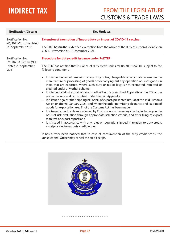| <b>Notification/Circular</b>               | <b>Key Updates</b>                                                                                                                                                                                                                                                                                                             |  |  |  |
|--------------------------------------------|--------------------------------------------------------------------------------------------------------------------------------------------------------------------------------------------------------------------------------------------------------------------------------------------------------------------------------|--|--|--|
| Notification No.<br>45/2021-Customs dated  | <b>Extension of exemption of import duty on import of COVID-19 vaccine</b>                                                                                                                                                                                                                                                     |  |  |  |
| 29 September 2021                          | The CBIC has further extended exemption from the whole of the duty of customs leviable on<br>COVID-19 vaccine till 31 December 2021.                                                                                                                                                                                           |  |  |  |
| Notification No.<br>76/2021-Customs (N.T.) | <b>Procedure for duty-credit issuance under RoDTEP</b>                                                                                                                                                                                                                                                                         |  |  |  |
| dated 23 September<br>2021                 | The CBIC has notified that issuance of duty credit scrips for RoDTEP shall be subject to the<br>following conditions:                                                                                                                                                                                                          |  |  |  |
|                                            | It is issued in lieu of remission of any duty or tax, chargeable on any material used in the<br>$\bullet$<br>manufacture or processing of goods or for carrying out any operation on such goods in<br>India that are exported, where such duty or tax or levy is not exempted, remitted or<br>credited under any other Scheme; |  |  |  |
|                                            | It is issued against export of goods notified in the prescribed Appendix of the FTP, at the<br>respective rate and cap notified under the said Appendix;                                                                                                                                                                       |  |  |  |
|                                            | It is issued against the shipping bill or bill of export, presented u/s. 50 of the said Customs<br>Act on or after 01 January 2021, and where the order permitting clearance and loading of<br>goods for exportation u/s. 51 of the Customs Act has been made;                                                                 |  |  |  |
|                                            | It is issued after the claim is allowed by Customs upon necessary checks, including on the<br>$\bullet$<br>basis of risk evaluation through appropriate selection criteria, and after filing of export<br>manifest or export report; and                                                                                       |  |  |  |
|                                            | It is issued in accordance with any rules or regulations issued in relation to duty credit,<br>e-scrip or electronic duty credit ledger.                                                                                                                                                                                       |  |  |  |
|                                            | It has further been notified that in case of contravention of the duty credit scrips, the<br>Jurisdictional Officer may cancel the credit scrips.                                                                                                                                                                              |  |  |  |

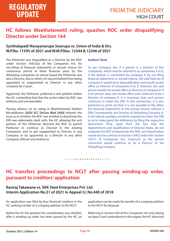### **HC follows Meethelaveetil ruling, quashes ROC order disqualifying Director under Section 164**

#### **Synthalapadi Narayanarupa Swarupa vs. Union of India & Ors. W.P.No. 11595 of 2021 and W.M.P.Nos. 12344 & 12346 of 2021**

The Petitioner was disqualified as a Director by the ROC under Section 164(2)(a) of the Companies Act, for non-filing of financial statements or annual returns for continuous period of three financial years by the defaulting companies on whose board the Petitioner was also a Director, due to which, he was prohibited from being appointed or reappointed as Director in any other company for 5 years.

Aggrieved, the Petitioner preferred a writ petition before the HC contending that that the action taken by ROC was arbitrary and unreasonable.

Placing reliance on its ruling in Meethelaveetil Kaitheri Muralidharan *[2020 SCC OnLine Mad 2958]* wherein the issue as to whether the ROC was entitled to deactivate the DIN was elaborately dealt with, the HC allowing the writ petition of the Petitioner directed the ROC to permit Petitioner to continue as Director in the existing Companies, and to get reappointed as Director in any Company or be appointed as a Director in any other Company without any hindrance.

#### **Authors' Note**

As per Company law, if a person is a Director of five companies, which may be referred to as companies A to E, if the default is committed by company A by not filing nancial statements or annual returns, the said Director of company A would incur disqualification and would vacate office as Director of companies B to E. However, the said person would not vacate office as Director of company A. If such person does not vacate office and continues to be a Director of company A, it is necessary that such person continues to retain the DIN. In this connection, it is also pertinent to point out that it is not possible to file either the financial statements or the annual returns without a DIN. Consequently, the Director of Defaulting Company A, in the above example, would be required to retain the DIN so as to make good the deficiency by filing the respective documents. Thus, apart from the fact that the Appointment and Qualification of Director Rules, do not empower the ROC to deactivate the DIN, such deactivation would also be contrary to Section 164(2) read with Section 167(1) of Companies Act, inasmuch as the person concerned would continue to be a Director of the Defaulting Company.

### *• • • • • • • • • • • • • • • • • • • • •*

### **HC transfers proceedings to NCLT after passing winding-up order, pursuant to creditors' application**

#### **Raviraj Takawane vs. SKK Steel Enterprises Pvt. Ltd. Interim Application No.31 of 2021 in Appeal (L) No.440 of 2018**

An application was filed by four financial creditors in the HC seeking transfer of a company petition to the NCLT.

Before the HC the question for consideration was whether, after a winding up order has been passed by the HC, an

application can be made for transfer of a company petition to the NCLT for disposal.

Referring to Section 434 of the Companies Act and relying on Apex Court's precedents in this regard, the HC observed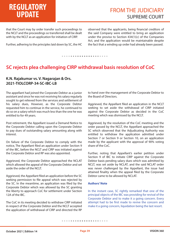# **REGULATORY**

that the Court may by order transfer such proceedings to the NCLT and the proceedings so transferred shall be dealt with by the NCLT as an application for initiation of CIRP.

Further, adhering to the principles laid down by SC, the HC

observed that the applicants, being financial creditors of the said Company were entitled to bring an application under the proviso to Section 434(1)(c) of the Companies Act, and the application would be maintainable despite the fact that a winding up order had already been passed.

*• • • • • • • • • • • • • • • • • • • • •* 

### **SC rejects plea challenging CIRP withdrawal basis resolution of CoC**

#### **K.N. Rajakumar vs. V. Nagarajan & Ors. 2021-TIOLCORP-34-SC-IBC-LB**

The appellant had joined the Corporate Debtor as a junior assistant and since he was not receiving his salary regularly sought to get relieved from the services and settlement of his salary dues, However, as the Corporate Debtor requested him to continue in the service, he continued to do so on a salary which was much less than the one he was entitled to for 49 years.

Post retirement, the Appellant issued a Demand Notice to the Corporate Debtor calling upon the Corporate Debtor to pay dues of outstanding salary amounting along with interest.

On failure of the Corporate Debtor to comply with the notice, The Appellant filed an application under Section 9 of the IBC, before the NCLT and CIRP was initiated against the Corporate Debtor and RP was also appointed.

Aggrieved, the Corporate Debtor approached the NCLAT which allowed the appeal of the Corporate Debtor and set aside the order of the NCLT.

Aggrieved, the Appellant filed an application before the SC seeking permission to file appeal which was rejected by the SC. In the meantime, an application was filed by the Corporate Debtor which was allowed by the SC granting the liberty to approach CoC for settlement under Section 12A of the IBC.

The CoC in its meeting decided to withdraw CIRP initiated in respect of the Corporate Debtor and the NCLT accepted the application of withdrawal of CIRP and directed the RP to hand over the management of the Corporate Debtor to the Board of Directors.

Aggrieved, the Appellant filed an application in the NCLT seeking to set aside the withdrawal of CIRP initiated against the Corporate Debtor as decided in the CoC meeting which was dismissed by the NCLT.

Aggrieved, by the resolution of the CoC meeting and the order passed by the NCLT, the Appellant approached the SC which observed that the Adjudicating Authority was entitled to withdraw the application admitted under Section 7 or Section 9 or Section 10, on an application made by the applicant with the approval of 90% voting share of the CoC.

Further, noting that Appellant's earlier petition under Section 9 of IBC to initiate CIRP against the Corporate Debtor basis pending salary dues which was admitted by NCLT, was set aside by NCLAT, and the said NCLAT order was never challenged by the Appellant, the issue had attained finality when the appeal filed by the Corporate Debtor came to be allowed by NCLAT.

#### **Authors' Note**

In the instant case, SC rightly remarked that one of the principal objects of the IBC was providing for revival of the Corporate Debtor and to make it a going concern. Every attempt had to be first made to revive the concern and make it a going concern, liquidation being the last resort.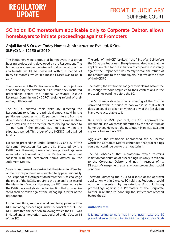### **SC holds IBC moratorium applicable only to Corporate Debtor, allows homebuyers to initiate proceedings against Promoters**

### **Anjali Rathi & Ors. vs. Today Homes & Infrastructure Pvt. Ltd. & Ors. SLP (C) No. 12150 of 2019**

The Petitioners were a group of homebuyers in a group housing project being developed by the Respondent. The home buyer agreement envisaged that possession of the apartments would be delivered within a period of thirty-six months, which in almost all cases was to be in 2014.

The grievance of the Petitioners was that the project was abandoned by the developer. As a result, they instituted proceedings before the National Consumer Dispute Redressal Commission ('NCDRC') seeking refund of their money with interest.

The NCDRC allowed their claim by directing the Respondent to refund the principal amount paid by the petitioners together with 12 per cent interest from the date of deposit along with costs within four weeks. There was a provision in the order for interest being enhanced to 14 per cent if the amount was not paid within the stipulated period. This order of the NCDRC had attained finality.

Execution proceedings under Sections 25 and 27 of the Consumer Protection Act were also instituted by the Petitioners. However, these execution proceedings were repeatedly adjourned and the Petitioners were not satisfied with the settlement terms offered by the Judgment Debtor.

Since no settlement was arrived at, the Managing Director of the first respondent was directed to appear personally. The Respondent filed a petition before the HC to challenge the order of the NCDRC requiring the personal presence of the Managing Director. However, the HC issued notice to the Petitioners and also issued a direction that no coercive steps shall be taken against the Managing Director of the Respondent.

In the meantime, an operational creditor approached the NCLT initiating proceedings under Section 9 of the IBC. The NCLT admitted the petition, following which the CIRP was initiated and a moratorium was declared under Section 14 of the IBC.

The order of the NCLT resulted in the filing of an SLP before the SC by the Petitioners. The grievance raised was that the application filed for the initiation of corporate insolvency against the Respondent was merely to stall the refund of the amount due to the homebuyers, in terms of the order of the NCDRC.

Thereafter, the Petitioners lodged their claims before the RP, though without prejudice to their contentions in the proceedings pending before the SC.

The SC thereby directed that a meeting of the CoC be convened within a period of two weeks so that a final decision could be taken on whether any of the Resolution Plans were acceptable to it.

By a vote of 96.93 per cent, the CoC approved the Resolution Plan which was submitted by the consortium of home buyers. However, the Resolution Plan was awaiting approval before the NCLT.

Aggrieved, the Petitioners approached the SC before which the Corporate Debtor contended that proceedings could not continue due to the moratorium.

The SC observed that moratorium which restrains initiation/continuation of proceedings was only in relation to the Corporate Debtor and not in respect of its Directors/Management, against whom proceedings could continue.

Therefore, directing the NCLT to dispose of the approval application within 6 weeks, SC held that Petitioners could not be prevented by moratorium from initiating proceedings against the Promoters of the Corporate Debtor in relation to honoring the settlements reached before the SC.

#### **Authors' Note:**

It is interesting to note that in the instant case the SC placed reliance on its ruling in P. Mohanraj & Ors. vs. Shah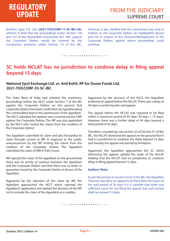# **REGULATORY**

Brothers Ispat Pvt. Ltd. **[2021-TIOLCORP-11-SC-IBC-LB]**, wherein it held that the proceedings under Section 138 and 141 of the Negotiable Instruments Act 1881 against the Corporate Debtor would be covered by the moratorium provision under Section 14 of the IBC. However, it also clarified that the moratorium was only in relation to the Corporate Debtor (as highlighted above) and not in respect of the Directors/Management of the Corporate Debtor, against whom proceedings could continue.

*• • • • • • • • • • • • • • • • • • • • •* 

### **SC holds NCLAT has no jurisdiction to condone delay in filing appeal beyond 15 days**

### **National Spot Exchange Ltd. vs. Anil Kohli, RP for Dunar Foods Ltd. 2021-TIOLCORP-33-SC-IBC**

The State Bank of India had initiated the insolvency proceedings before the NCLT under Section 7 of the IBC against the Corporate Debtor on the ground that Corporate Debtor had taken credit limits by hypothecating the commodities kept in the warehouses of the appellant. The NCLT admitted the petition and commenced the CIRP against the Corporate Debtor. The IRP was also appointed by the NCLT who invited the claims from the creditors of the Corporate Debtor.

The Appellant submitted its claim and also forwarded its claim through courier to IRP. In response to the public announcement by the IRP inviting the claims from the creditors of the Corporate Debtor, The Appellant submitted the claim of INR 673.85 Crores.

IRP rejected the claim of the appellant on the ground that there was no privity of contract between the Appellant and the Corporate Debtor and that there was no letter or guarantee issued by the Corporate Debtor in favour of the Appellant.

Aggrieved by the rejection of the claim by IRP, the Appellant approached the NCLT which rejected the Appellant's application and upheld the decision of the IRP not to include the claim of the Appellant as a creditor.

Aggrieved by the decision of the NCLT, the Appellant preferred an appeal before the NCLAT. There was a delay of 44 days in preferring the said appeal.

The appeal before the NCLAT was required to be filed within a maximum period of 45 days (30 days + 15 days). However, there was a further delay of 44 days beyond a total period of 45 days.

Therefore, considering sub-section (2) of Section 61 of the IBC, the NCLAT dismissed the appeal on the ground that it had no jurisdiction to condone the delay beyond 15 days and thereby the appeal was barred by limitation.

Aggrieved, the Appellant approached the SC which dismissing the appeal, upheld the order of the NCLAT holding that the NCLAT had no jurisdiction to condone delay in filing appeal beyond 15 days.

#### **Authors' Note:**

As per the proviso to Section 61(2) of the IBC, the Appellate Tribunal may allow an appeal to be filed after the expiry of the said period of 30 days if it is satisfied that there was sufficient cause for not filing the appeal, but such period shall not exceed 15 days.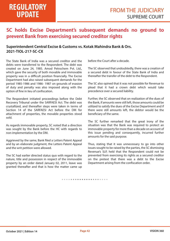### **SC holds Excise Department's subsequent demands no ground to prevent Bank from exercising secured creditor rights**

#### **Superintendent Central Excise & Customs vs. Kotak Mahindra Bank & Ors. 2021-TIOL-217-SC-CX**

The State Bank of India was a secured creditor and the debts were transferred to the Respondent. The debt was created on June 24, 1985. Amod Petrochem Pvt. Ltd., which gave the security of both movable and immovable property was in a difficult position financially. The Excise Department had also raised subsequent demands for the period 1985-1986 and 1986- 1987 on grounds of evasion of duty and penalty was also imposed along with the option of fine in lieu of confiscation.

The Respondent initiated proceedings before the Debt Recovery Tribunal under the SARFAESI Act. The debt was crystallized, and thereafter steps were taken in terms of Section 14 of the SARFAESI Act before the DM for attachment of properties, the movable properties stood sold.

As regards immovable property, SC noted that a direction was sought by the Bank before the HC with regards to non-implementation by the DM.

Aggrieved by the same, Bank filed a Letters Patent Appeal and by an elaborate judgment, the Letters Patent Appeal and the writ petition were allowed.

The SC had earlier directed status quo with regard to the nature, title and possession in respect of the immovable property by an order dated January 02, 2011, leave was granted thereafter and that is how the matter came up

before the Court after a decade.

The SC observed that undoubtedly, there was a creation of a secured debt in favour of the State Bank of India and thereafter the transfer of the debt to the Respondent.

The SC also opined that it was not possible for Revenue to plead that it had a crown debt which would take precedence over a secured liability.

Further, the SC observed that on realization of the dues of the Bank, if amounts were still left, those amounts could be utilized to satisfy the dues of the Excise Department and if there were still amounts left, the debtor would be the beneficiary of the same.

The SC further remarked that the great irony of the situation was that the Bank was required to protect an immovable property for more than a decade on account of this issue pending and consequently, incurred further amounts for the said purpose.

Thus, stating that it was unnecessary to go into other issues sought to be raised by the parties, the SC dismissing Revenue's SLP, held that the Respondent could not be prevented from exercising its rights as a secured creditor on the pretext that there was a debt to the Excise Department arising from the confiscation order.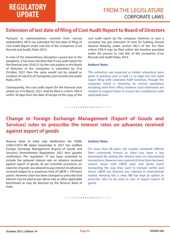### **Extension of last date of filing of Cost Audit Report to Board of Directors**

Pursuant to representations received from various stakeholders, MCA has extended the last date of filing of Cost Audit Report under rule 6(5) of the Companies (Cost Records and Audit), Rules 2014.

In view of the extraordinary disruption caused due to the pandemic, it has been decided that if cost audit report for the financial year 2020-21 by the cost auditor to the Board of Directors of the companies is submitted by 31st October, 2021 then the same would not be viewed as violation of rule 6(5) of Companies (cost records and audit) Rules, 2014.

Consequently, the cost audit report for the financial year ended on 31st March, 2021 shall be filed in e-form CRA-4 within 30 days from the date of receipt of the copy of the

cost audit report by the company. However, in case a company has got extension of time for holding Annual General Meeting under section 96(1) of the Act then e-form CRA-4 may be filed within the timeline provided under the proviso to rule 6(6) of the companies (Cost Records and Audit) Rules, 2014.

#### **Authors' Note:**

This extension was expected as similar relaxations were given in previous year as well i.e. to align the cost audit report filing with extended AGM timelines. Though the corporate world is resuming its normal operations including work from office, however such extensions are needed to support them to ensure the compliances with applicable laws.

### **Change in Foreign Exchange Management (Export of Goods and Services) rules to prescribe the interest rates on advances received against export of goods**

*• • • • • • • • • • • • • • • • • • • • •* 

Reserve Bank of India vide Notification No. FEMA 23(R)/5/2021-RB dated Setpember 8, 2021 has notified Foreign Exchange Management (Export of Goods and Services) (Amendment) Regulations 2021 thru gazette notification. The regulation 15 has been amended to include the optional interest rate on advance received against export of goods. As per erstwhile provisions, an exporter of goods was allowed to pay interest on advances received subject to a maximum limit of LIBOR + 100 basis points. However same has been changed to prescribe that interest may be paid as per above rate or other applicable benchmark as may be directed by the Reserve Bank of India.

#### **Authors' Note:**

For more than 40 years, the London Interbank Offered Rate—commonly known as Libor—has been a key benchmark for setting the interest rates on international transactions. However over a period of time there has been various issues with LIBOR rates and banks aren't transacting the way they used to transact earlier and hence LIBOR has become less relevant in international market. Keeping this is view, RBI has kept an option to prescribe rates to be used in case of export import of goods.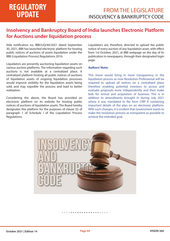### **Insolvency and Bankruptcy Board of India launches Electronic Platform for Auctions under liquidation process**

Vide notification no. IBBI/LIQ/44/2021 dated September 30, 2021, IBBI has launched electronic platform for hosting public notices of auctions of assets liquidation under the IBBI (Liquidation Process) Regulations 2016.

Liquidators are presently auctioning liquidation assets on various auction platforms. The information regarding such auctions is not available at a centralized place. A centralized platform hosting all public notices of auctions of liquidation assets of ongoing liquidation processes would improve visibility for the liquidation assets being sold, and may expedite the process and lead to better realization.

Considering the above, the Board has provided an electronic platform on its website for hosting public notices of auctions of liquidation assets. The Board hereby designates this platform for the purposes of clause (5) of paragraph 1 of Schedule I of the Liquidation Process Regulations.

Liquidators are, therefore, directed to upload the public notice of every auction of any liquidation asset, with effect from 1st October, 2021, at IBBI webpage on the day of its publication in newspapers, through their designated login page.

#### **Authors' Note:**

This move would bring in more transparency in the liquidation process as now Resolution Professional will be required to upload all notices on a centralized place therefore enabling potential investors to access and evaluate proposals more independently and then make bids for revival and acquisition of business. This is in addition to amendments brought in during July 2021 where it was mandated to file form CIRP 8 containing important details of the plan on an electronic platform. With such changes, it is evident that Government wants to make the resolution process as transparent as possible to achieve the intended goal.

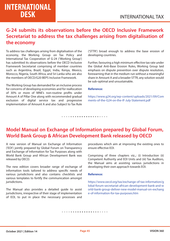### **G-24 submits its observations before the OECD Inclusive Framework Secretariat to address the tax challenges arising from digitalisation of the economy**

To address tax challenges arising from digitalisation of the economy, the Working Group on Tax Policy and International Tax Cooperation of G-24 ('Working Group') has submitted its observations before the OECD Inclusive Framework Secretariat comprising of member countries such as Argentina, Brazil, Egypt, India, Kenya, Mexico, Morocco, Nigeria, South Africa, and Sri Lanka who are also the members of OECD/G20 BEPS Inclusive Framework.

The Working Group has demanded for an inclusive process for concerns of developing economies and for reallocation of 30% or more of MNE's non-routine profits under Amount A of Pillar One along with recommended gradual exclusion of digital service tax and progressive implementation of Amount A and also Subject to Tax Rule

('STTR') broad enough to address the base erosion of developing countries.

Further, favouring a high minimum effective tax rate under the Global Anti-Base Erosion Rules, Working Group laid emphasis on dispute prevention over dispute resolution, forewarning that in the medium run without a meaningful share in Amount A and a broader STTR, any solution would be sub-optimal and unsustainable.

#### **Reference:**

https://www.g24.org/wp-content/uploads/2021/09/Com ments-of-the-G24-on-the-IF-July-Statement.pdf

#### *• • • • • • • • • • • • • • • • • • • • •*

### **Model Manual on Exchange of Information prepared by Global Forum, World Bank Group & African Development Bank released by OECD**

A new version of Manual on Exchange of Information ('EOI') jointly prepared by Global Forum on Transparency and Exchange of Information for Tax Purposes along with World Bank Group and African Development Bank was released by OECD.

The new edition covers broader range of exchange of information tools tailored to address specific needs of various jurisdictions and also contains checklists and various templates to fortify the communication amongst jurisdictions.

The Manual also provides a detailed guide to assist jurisdictions, irrespective of their stage of implementation of EOI, to put in place the necessary processes and

procedures which aim at improving the existing ones to ensure effective EOI.

Comprising of three chapters viz.,: (i) Introduction (ii) Competent Authority and EOI Units and (iii) Tax Auditors, the Manual aims at assisting various jurisdictions in developing their own approach towards EOI.

#### **Reference:**

https://www.oecd.org/tax/exchange-of-tax-information/g lobal-forum-secretariat-african-development-bank-and-w orld-bank-group-deliver-new-model-manual-on-exchang e-of-information-for-tax-purposes.htm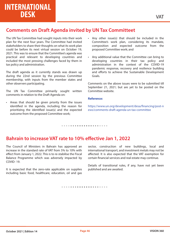### **Comments on Draft Agenda invited by UN Tax Committeet**

The UN Tax Committee had sought inputs into their work plan for the next four years. The Committee had invited stakeholders to share their thoughts on what its work plan could be before its next virtual session on October 19, 2021. This was to ensure that the Committee's agenda was practical and relevant to developing countries and included the most pressing challenges faced by them in tax policy and administration.

The draft agenda as it currently stands was drawn up during the 22nd session by the previous Committee membership, with inputs from the member states and other observers participating.

The UN Tax Committee primarily sought written comments in relation to the Draft Agenda on:

• Areas that should be given priority from the issues identified in the agenda, including the reason for prioritizing the identified issue(s) and the expected outcome from the proposed Committee work;

- Any other issue(s) that should be included in the Committee's work plan, considering its mandate, composition and expected outcome from the proposed Committee work; and
- Any additional value that the Committee can bring to developing countries in their tax policy and administration in the context of the COVID-19 pandemic response, recovery and resilience building and efforts to achieve the Sustainable Development Goals.

Comments on the above issues were to be submitted till September 21, 2021; but are yet to be posted on the Committee website.

#### **Reference:**

https://www.un.org/development/desa/financing/post-n ews/comments-draft-agenda-un-tax-committee

#### *• • • • • • • • • • • • • • • • • • • • •*

### **Bahrain to increase VAT rate to 10% effective Jan 1, 2022**

The Council of Ministers in Bahrain has approved an increase in the standard rate of VAT from 5% to 10% with effect from January 1, 2022. This is to re-stabilise the Fiscal Balance Programme which was adversely impacted by COVID- 19.

It is expected that the zero-rate applicable on supplies including basic food, healthcare, education, oil and gas sector, construction of new buildings, local and international transport, and investment metals may not be affected. It is also expected that the VAT exemption for certain financial services and real estate may continue.

Details of transitional rules, if any, have not yet been published and are awaited.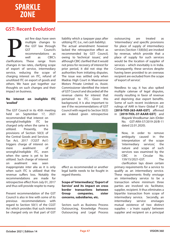# **SPARKLE ZONE**

### **GST: Recent Evolution!**

ast few days have seen multiple changes to the GST law through GST Council's recommendations as well as CBIC's ast few days have seen<br>multiple changes to<br>the GST law through<br>GST Council's<br>recommendations as<br>well as CBIC's<br>clarifications. These range from changes in tax rates, clarifying scope of export of service, intermediary service, reducing the scope of charging interest on ITC, refund of unutilized ITC on export of goods and others. We have put together our thoughts on such changes and their impact on business.

#### **No interest on ineligible ITC 'availed'**

The GST Council in its 45th meeting held on September 17, 2021 recommended that interest on wrongful/ineligible ITC be charged only when the same is utilized. Presently, the provisions of Section 50(3) of the Central Goods and Services Tax Act, 2017 ('CGST Act') triggers charge of interest on mere availment of wrongful/ineligible ITC, even when the same is yet to be utilized. Such charge of interest on availment was seen

inappropriate inter alia as it is only when such ITC is utilized that the revenue suffers loss. Notably the recommendations are made for retrospective effect from July 01, 2017 and thus will provide respite to many.

Present recommendation of the GST Council is also in line with some of its previous recommendations with regard to Section 50(1) of the CGST Act which provides that such interest be charged only on that part of GST

liability which a taxpayer pays after utilizing ITC (i.e., net cash liability).

The actual amendment however lacked the retrospective effect as recommended by GST Council, owing to 'technical issues', and although CBIC clarified that it would not press for recovery of interest for prior period, it did not stop the authorities from initiating disputes. The issue was settled only when Madras High Court in Maansarovar Motors Private Limited vs. Assist. Commissioner identified the intent of GST Council and discarded all the revenue claims for interest that pertained to ITC. Given this background, it is also important to see if the recommendations of GST Council with regard to Section 50(3) are indeed given retrospective



effect as recommended or another legal battle needs to be fought in regard thereto.

#### **Scope of 'Intermediary', 'Export of Service' and its impact on cross border transactions between Group companies, sister concerns, subsidiaries, etc.**

Sectors such as Business Process Outsourcing, Knowledge Process Outsourcing and Legal Process outsourcing are treated as 'intermediary' and specific provisions for place of supply of intermediary services [Section 13(8)(b)] are invoked by revenue, which provide that a place of supply for such services would be the location of supplier of services – which inevitably is in India. Consequently, these services despite having been provided to an overseas recipient are excluded from the scope of 'export of service'.

Needless to say, it has also spiked multiple catenae of legal disputes, mostly resulting in favor of revenue and depriving due export benefits. Some of such recent incidences are rulings of AAR in Vserv Global P Ltd. **[2018-TIOI-263-AAR-GST]** affirmed

in **[2019-TIOL-37-AAAR-GST]** and Mayank Vinodkumar Jain (Order No. GST-ARA-57/2019-20/B-11 dated 22.01.2020).

> Now, in order to remove ambiguity caused in the interpretation of the scope 'intermediary services', the nature and scope of such services was examined by the CBIC in Circular No. 159/15/2021-GST. The

clarification lays down certain primary requirements for a service to qualify as an intermediary service. These requirements firstly envisage an intermediary service to be a transaction where minimum three parties are involved viz. facilitator, supplier, recipient. It thus eliminates a bipartite transaction from scope of intermediary service. Secondly, an intermediary service envisages mutual existence of two distinct supplies – a 'main supply' between supplier and recipient on a principal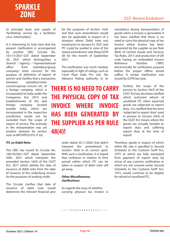# **SPARKLE ZONE**

### GST: Recent Evolution!

to principal basis and supply of 'facilitating' service by a facilitator a.k.a. 'intermediary'.

It is interesting to note here that the present clarification is accompanied by another CBIC Circular No. 161/17/2021-GST dated September 20, 2021 which distinguishes a 'branch' / 'agency' / 'representational office' from 'subsidiary/group company/ sister concern' for the purpose of definition of 'export of service' and clarifies that a transaction between subsidiary/sister concern/group concern etc. of a foreign company, which is incorporated in India under the

Companies Act, 2013 and establishments of the said foreign company located outside India, which are incorporated in the respective jurisdiction would not be excluded from the scope of export of service. The anomaly in the interpretation was yet another obstacle for sectors such as BPO/KPO/LPO, IT etc.

#### **ITC on Debit Note**

The CBIC has issued its Circular No. 160/16/2021-GST dated September 20th, 2021 which interprets the amended Section 16(4) of the CGST Act, 2017 which delinks the date of issuance of debit note from the date of issuance of the underlying invoice for the purposes of availing credit.

The Circular clarifies that date of issuance of debit note would determine the relevant financial year for the purposes of Section 16(4) and that such amendment would also be applicable in respect of a situation where Debit note was issued prior to January 01, 2021 and ITC could be availed in view of the stated amendment vide filing GSTR 3B for the month of September 2021.

The clarification was much needed. especially in light of rulings, such as I-tech Plast India Pvt. Ltd., the Advance Ruling authority in its

# **THERE IS NO NEED TO CARRY THE PHYSICAL COPY OF TAX INVOICE WHERE INVOICE HAS BEEN GENERATED BY THE SUPPLIER AS PER RULE 48(4)!**

order dated 30.11.2020, that didn't interpret the amendment to Section 16(4) in its correct spirit. With such a clarification, it is hoped that confusion in relation to time period within which ITC can be taken in respect of debit note will go away.

#### **Other Miscellaneous clarications**

As regards the issue of whether carrying physical tax invoice is

*• • • • • • • • • • • • • • • • • • • • •* 

mandatory during transportation of goods when e-invoice is generated, it has been clarified that there is no need to carry the physical copy of tax invoice where invoice has been generated by the supplier as per Rule 48(4) of Central Goods and Services Tax Rules, 2017 and production of QR code having an embedded Invoice Reference Number ('IRN') electronically for verification purpose before the proper officer would suffice. A similar clarification was issued by GSTN last year.

> Further, the scope of the proviso to Section 54(3) of the CGST Act has also been clarified which restricted refund of unutilized ITC when exported goods are subjected to export duty. It is clarified that the term 'subjected to export duty' used in proviso to Section 54(3) of the CGST Act means where the goods are actually leviable to export duty and suffering export duty at the time of export.

Therefore, goods in respect of which either NIL rate is specified in Second Schedule to the Customs Tariff Act, 1975 or which are fully exempted from payment of export duty by virtue of any customs notification or which are not covered under Second Schedule to the Customs Tariff Act. 1975, would continue to be eligible for refund of unutilized ITC.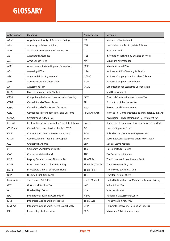# **GLOSSARY**

| Abbreviation    | Meaning                                          | Abbreviation        | Meaning                                             |
|-----------------|--------------------------------------------------|---------------------|-----------------------------------------------------|
| AAAR            | Appellate Authority of Advanced Ruling           | <b>ITA</b>          | <b>Interactive Tax Assistant</b>                    |
| AAR             | Authority of Advance Ruling                      | <b>ITAT</b>         | Hon'ble Income Tax Appellate Tribunal               |
| <b>ACIT</b>     | Assistant Commissioner of Income Tax             | <b>ITC</b>          | Input Tax Credit                                    |
| AE              | <b>Associated Enterprise</b>                     | <b>ITES</b>         | Information Technology Enabled Services             |
| <b>ALP</b>      | Arm's Length Price                               | <b>MAT</b>          | Minimum Alternate Tax                               |
| AMP             | Advertisement Marketing and Promotion            | <b>MRP</b>          | Maximum Retail Price                                |
| AO              | Assessing Officer                                | <b>NAA</b>          | National Anti-Profiteering Authority                |
| APA             | <b>Advance Pricing Agreement</b>                 | <b>NCLAT</b>        | National Company Law Appallete Tribunal             |
| <b>APU</b>      | Authorized Public Undertaking                    | <b>NCLT</b>         | National Company Law Tribunal                       |
| AY              | Assessment Year                                  | <b>OECD</b>         | Organization for Economic Co-operation              |
| <b>BEPS</b>     | <b>Base Erosion and Profit Shifting</b>          |                     | and Development                                     |
| CASS            | Computer aided selection of cases for Scrutiny   | <b>PCIT</b>         | Principal Commissioner of Income Tax                |
| <b>CBDT</b>     | <b>Central Board of Direct Taxes</b>             | PLI                 | <b>Production Linked Incentive</b>                  |
| <b>CBEC</b>     | <b>Central Board of Excise and Customs</b>       | R&D                 | Research and Development                            |
| <b>CBIC</b>     | Central Board of Indirect Taxes and Customs      | <b>RFCTLARR Act</b> | Right to Fair Compensation and Transparency in Land |
| <b>CENVAT</b>   | <b>Central Value Added Tax</b>                   |                     | Acquisition, Rehabilitation and Resettlement Act    |
| <b>CESTAT</b>   | Custom Excise and Service Tax Appellate Tribunal | <b>RoDTEP</b>       | Remission of Duties and Taxes on Export of Products |
| <b>CGST Act</b> | Central Goods and Services Tax Act, 2017         | <b>SC</b>           | Hon'ble Supreme Court                               |
| <b>CIRP</b>     | Corporate Insolvency Resolution Process          | <b>SCM</b>          | Subsidies and Countervailing Measures               |
| CIT(A)          | Commissioner of Income Tax (Appeal)              | <b>SCRR</b>         | Securities Contracts (Regulation) Rules, 1957       |
| <b>CLU</b>      | Changing Land Use                                | <b>SLP</b>          | <b>Special Leave Petition</b>                       |
| <b>CSR</b>      | <b>Corporate Social Responsibility</b>           | <b>TCS</b>          | Tax Collected at Source                             |
| <b>CWF</b>      | <b>Consumer Welfare Fund</b>                     | <b>TDS</b>          | Tax Deducted at Source                              |
| <b>DCIT</b>     | Deputy Commissioner of Income Tax                | The CP Act          | The Consumer Protection Act, 2019                   |
| <b>DGAP</b>     | Directorate General of Anti-Profiting            | The IT Act/The Act  | The Income-tax Act, 1961                            |
| <b>DGFT</b>     | Directorate General of Foreign Trade             | The IT Rules        | The Income-tax Rules, 1962                          |
| <b>DRP</b>      | <b>Dispute Resolution Panel</b>                  | <b>TPO</b>          | <b>Transfer Pricing Officer</b>                     |
| Finance Act     | The Finance Act, 1994                            | <b>UN TP Manual</b> | United Nations Practice Manual on Transfer Pricing  |
| GST             | Goods and Services Tax                           | <b>VAT</b>          | Value Added Tax                                     |
| HC              | Hon'ble High Court                               | <b>VSV</b>          | Vivad se Vishwas                                    |
| <b>IBC</b>      | International Business Corporation               | <b>NeAC</b>         | National e-Assessment Centre                        |
| IGST            | Integrated Goods and Services Tax                | The LT Act          | The Limitation Act, 1963                            |
| <b>IGST Act</b> | Integrated Goods and Services Tax Act, 2017      | <b>CIRP</b>         | Corporate Insolvency Resolution Process             |
| <b>IRP</b>      | <b>Invoice Registration Portal</b>               | <b>MPS</b>          | Minimum Public Shareholding                         |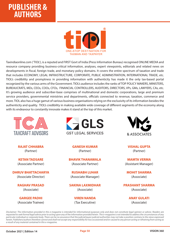# **PUBLISHER & AUTHORS**



Taxindiaonline.com ('TIOL'), is a reputed and FIRST Govt of India (Press Information Bureau) recognised ONLINE MEDIA and resource company providing business-critical information, analyses, expert viewpoints, editorials and related news on developments in fiscal, foreign trade, and monetary policy domains. It covers the entire spectrum of taxation and trade that includes ECONOMY, LEGAL INFRASTRUCTURE, CORPORATE, PUBLIC ADMINISTRATION, INTERNATIONAL TRADE, etc. TIOL's credibility and promptness in providing information with authenticity has made it the only tax-based portal recognized by the various arms of the Government. TIOL's audience includes the ranks of TOP POLICY MAKERS, MINISTERS, BUREAUCRATS, MDs, CEOs, COOs, CFOs, FINANCIAL CONTROLLERS, AUDITORS, DIRECTORS, VPs, GMs, LAWYERS, CAs, etc. It's growing audience and subscriber-base comprises of multinational and domestic corporations, large and premium service providers, governmental ministries and departments, officials connected to revenue, taxation, commerce and more. TIOL also has a huge gamut of various business organisations relying on the exclusivity of its information besides the authenticity and quality. TIOL's credibility in making available wide coverage of different segments of the economy along with its endeavour to constantly innovate makes it stand at the top of this market.



**RAJAT CHHABRA**  (Partner)

**KETAN TADSARE** (Associate Partner)

**DHRUV BHATTACHARYA**  (Associate Director)

> **RAGHAV PRASAD** (Associate)

> **GARGEE PADHI** (Associate Trainee)



**GANESH KUMAR** (Partner)

**BHAVIK THANAWALA** (Associate Partner)

**RUSHABH LUHAR** (Associate Manager)

**SAKINA LAXMIDHAR**  (Associate)

> **VIREN NANDA** (Tax Executive)



**VISHAL GUPTA**  (Partner)

**MAMTA VERMA**  (Assistant Manager)

**MOHIT SHARMA** (Associate)

**PRASHANT SHARMA**  (Associate)

> **ANAY GULATI**  (Associate)

*Disclaimer: The information provided in this e-magazine is intended for informational purposes only and does not constitute legal opinion or advice. Readers are requested to seek formal legal advice prior to acting upon any of the information provided herein. This e-magazine is not intended to address the circumstances of any particular individual or corporate body. There can be no assurance that the judicial/quasi-judicial authorities may not take a position contrary to the views expressed herein. Publishers/authors therefore cannot and shall not accept any responsibility for loss occasioned and/or caused to any person acting or refraining from acting as a result of any material contained in this e-magazine.*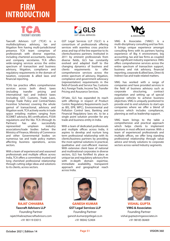# **FIRM INTRODUCTION**



Taxcraft Advisors LLP ('TCA') is a multidisciplinary advisory, tax and litigation firm having multi-jurisdictional presence. TCA team comprises of professionals with diverse expertise, including chartered accountants, lawyers and company secretaries. TCA offers wide-ranging services across the entire spectrum of transaction and business advisory, litigation, compliance and regulatory requirements in the domain of taxation, corporate & allied laws and financial reporting.

TCA's tax practice offers comprehensive services across both direct taxes (including transfer pricing and international tax) and indirect taxes (including GST, Customs, Trade Laws, Foreign Trade Policy and Central/States Incentive Schemes) covering the whole gamut of transactional, advisory and litigation work. TCA actively works in trade space entailing matters ranging from SCOMET advisory, BIS certifications, FSSAI regulations and the like. TCA (through its Partners) has also successfully represented umpteen industry associations/trade bodies before the Ministry of Finance, Ministry of Commerce and other Governmental bodies on numerous tax and trade policy matters affecting business operations, across sectors.

With a team of experienced and seasoned professionals and multiple offices across India, TCA offers a committed, trusted and long cherished professional relationship through cutting-edge ideas and solutions to its clients, across sectors.



GST Legal Services LLP ('GLS') is a consortium of professionals offering services with seamless cross practice areas and top of the line expertise to its clients/business partners. Instituted in 2011 by eminent professionals from diverse fields, GLS has constantly evolved and adapted itself to the changing dynamics of business and clients requirements to offer comprehensive services across the entire spectrum of advisory, litigation, compliance and government advocacy (representation) requirements in the field of Goods and Service Tax, Customs Act, Foreign Trade, Income Tax, Transfer Pricing and Assurance Services.

Of-late, GLS has expanded its reach with offerings in respect of Product Centric Regulatory Requirements (such as BIS, EPR, WPC), Environmental and Pollution Control laws, Banking and Financial Regulatory laws etc. to be a single point solution provider for any trade and business entity in India.

With a team of dedicated professionals and multiple offices across India, it aspires to develop and nurture long term professional relationship with its clients/business partners by providing the most optimal solutions in practical, qualitative and cost-efficient manner. With extensive client base of national and multinational corporates in diverse sectors, GLS has fortified its place as unique tax and regulatory advisory firm with in-depth domain expertise, immediate availability, transparent approach and geographical reach across India.



VMG & Associates ('VMG') is a multi-disciplinary consulting and tax firm. It brings unique experience amongst consulting firms with its partners having experience of Big 4 environment, big accounting, tax and law firms as coupled with significant industry experience. VMG offers comprehensive services across the entire spectrum of transaction support, business and risk advisory, financial reporting, corporate & allied laws, Direct & Indirect tax and trade related matters.

VMG has worked with a range of companies and have provided services in the field of business advisory such as corporate structuring, contract negotiation and setting up of special purpose vehicles to achieve business objectives. VMG is uniquely positioned to provide end to end solutions to start-ups companies where we offer a blend of services which includes compliances, planning as well as leadership support.

VMG team brings to the table a comprehensive and practical approach which helps clients to implement solutions in most efficient manner. With a team of experienced professionals and multiple offices, we offer long standing professional relationship through value advice and timely solutions to corporate sectors across varied Industry segments.



**RAJAT CHHABRA Taxcraft Advisors LLP** Founding Partner rajatchhabra@taxcraftadvisors.com +91 90119 03015



**GANESH KUMAR GST Legal Services LLP**  Founding Partner ganesh.kumar@gstlegal.co.in +91 90042 52404



**VISHAL GUPTA VMG & Associates**  Founding Partner vishal.gupta@vmgassociates.in +91 98185 06469